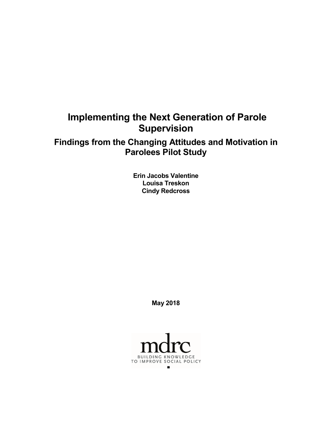# **Implementing the Next Generation of Parole Supervision**

# **Findings from the Changing Attitudes and Motivation in Parolees Pilot Study**

**Erin Jacobs Valentine Louisa Treskon Cindy Redcross**

**May 2018**

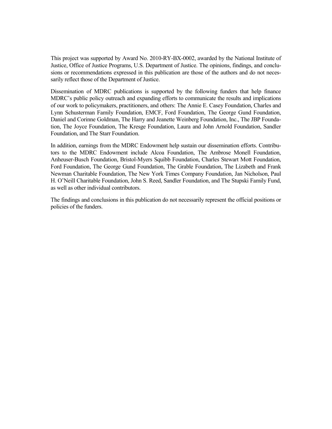This project was supported by Award No. 2010-RY-BX-0002, awarded by the National Institute of Justice, Office of Justice Programs, U.S. Department of Justice. The opinions, findings, and conclusions or recommendations expressed in this publication are those of the authors and do not necessarily reflect those of the Department of Justice.

Dissemination of MDRC publications is supported by the following funders that help finance MDRC's public policy outreach and expanding efforts to communicate the results and implications of our work to policymakers, practitioners, and others: The Annie E. Casey Foundation, Charles and Lynn Schusterman Family Foundation, EMCF, Ford Foundation, The George Gund Foundation, Daniel and Corinne Goldman, The Harry and Jeanette Weinberg Foundation, Inc., The JBP Foundation, The Joyce Foundation, The Kresge Foundation, Laura and John Arnold Foundation, Sandler Foundation, and The Starr Foundation.

In addition, earnings from the MDRC Endowment help sustain our dissemination efforts. Contributors to the MDRC Endowment include Alcoa Foundation, The Ambrose Monell Foundation, Anheuser-Busch Foundation, Bristol-Myers Squibb Foundation, Charles Stewart Mott Foundation, Ford Foundation, The George Gund Foundation, The Grable Foundation, The Lizabeth and Frank Newman Charitable Foundation, The New York Times Company Foundation, Jan Nicholson, Paul H. O'Neill Charitable Foundation, John S. Reed, Sandler Foundation, and The Stupski Family Fund, as well as other individual contributors.

The findings and conclusions in this publication do not necessarily represent the official positions or policies of the funders.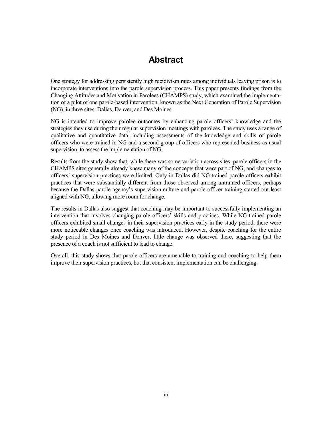# **Abstract**

One strategy for addressing persistently high recidivism rates among individuals leaving prison is to incorporate interventions into the parole supervision process. This paper presents findings from the Changing Attitudes and Motivation in Parolees (CHAMPS) study, which examined the implementation of a pilot of one parole-based intervention, known as the Next Generation of Parole Supervision (NG), in three sites: Dallas, Denver, and Des Moines.

NG is intended to improve parolee outcomes by enhancing parole officers' knowledge and the strategies they use during their regular supervision meetings with parolees. The study uses a range of qualitative and quantitative data, including assessments of the knowledge and skills of parole officers who were trained in NG and a second group of officers who represented business-as-usual supervision, to assess the implementation of NG.

Results from the study show that, while there was some variation across sites, parole officers in the CHAMPS sites generally already knew many of the concepts that were part of NG, and changes to officers' supervision practices were limited. Only in Dallas did NG-trained parole officers exhibit practices that were substantially different from those observed among untrained officers, perhaps because the Dallas parole agency's supervision culture and parole officer training started out least aligned with NG, allowing more room for change.

The results in Dallas also suggest that coaching may be important to successfully implementing an intervention that involves changing parole officers' skills and practices. While NG-trained parole officers exhibited small changes in their supervision practices early in the study period, there were more noticeable changes once coaching was introduced. However, despite coaching for the entire study period in Des Moines and Denver, little change was observed there, suggesting that the presence of a coach is not sufficient to lead to change.

Overall, this study shows that parole officers are amenable to training and coaching to help them improve their supervision practices, but that consistent implementation can be challenging.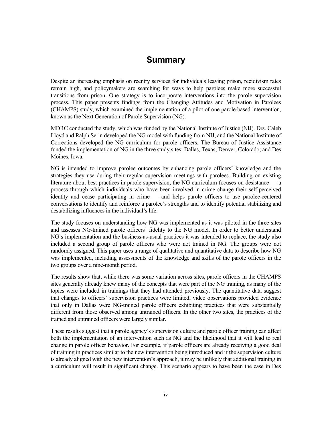# **Summary**

Despite an increasing emphasis on reentry services for individuals leaving prison, recidivism rates remain high, and policymakers are searching for ways to help parolees make more successful transitions from prison. One strategy is to incorporate interventions into the parole supervision process. This paper presents findings from the Changing Attitudes and Motivation in Parolees (CHAMPS) study, which examined the implementation of a pilot of one parole-based intervention, known as the Next Generation of Parole Supervision (NG).

MDRC conducted the study, which was funded by the National Institute of Justice (NIJ). Drs. Caleb Lloyd and Ralph Serin developed the NG model with funding from NIJ, and the National Institute of Corrections developed the NG curriculum for parole officers. The Bureau of Justice Assistance funded the implementation of NG in the three study sites: Dallas, Texas; Denver, Colorado; and Des Moines, Iowa.

NG is intended to improve parolee outcomes by enhancing parole officers' knowledge and the strategies they use during their regular supervision meetings with parolees. Building on existing literature about best practices in parole supervision, the NG curriculum focuses on desistance — a process through which individuals who have been involved in crime change their self-perceived identity and cease participating in crime — and helps parole officers to use parolee-centered conversations to identify and reinforce a parolee's strengths and to identify potential stabilizing and destabilizing influences in the individual's life.

The study focuses on understanding how NG was implemented as it was piloted in the three sites and assesses NG-trained parole officers' fidelity to the NG model. In order to better understand NG's implementation and the business-as-usual practices it was intended to replace, the study also included a second group of parole officers who were not trained in NG. The groups were not randomly assigned. This paper uses a range of qualitative and quantitative data to describe how NG was implemented, including assessments of the knowledge and skills of the parole officers in the two groups over a nine-month period.

The results show that, while there was some variation across sites, parole officers in the CHAMPS sites generally already knew many of the concepts that were part of the NG training, as many of the topics were included in trainings that they had attended previously. The quantitative data suggest that changes to officers' supervision practices were limited; video observations provided evidence that only in Dallas were NG-trained parole officers exhibiting practices that were substantially different from those observed among untrained officers. In the other two sites, the practices of the trained and untrained officers were largely similar.

These results suggest that a parole agency's supervision culture and parole officer training can affect both the implementation of an intervention such as NG and the likelihood that it will lead to real change in parole officer behavior. For example, if parole officers are already receiving a good deal of training in practices similar to the new intervention being introduced and if the supervision culture is already aligned with the new intervention's approach, it may be unlikely that additional training in a curriculum will result in significant change. This scenario appears to have been the case in Des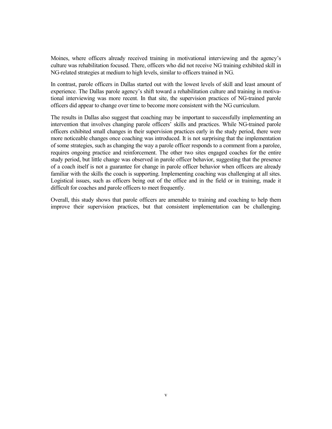Moines, where officers already received training in motivational interviewing and the agency's culture was rehabilitation focused. There, officers who did not receive NG training exhibited skill in NG-related strategies at medium to high levels, similar to officers trained in NG.

In contrast, parole officers in Dallas started out with the lowest levels of skill and least amount of experience. The Dallas parole agency's shift toward a rehabilitation culture and training in motivational interviewing was more recent. In that site, the supervision practices of NG-trained parole officers did appear to change over time to become more consistent with the NG curriculum.

The results in Dallas also suggest that coaching may be important to successfully implementing an intervention that involves changing parole officers' skills and practices. While NG-trained parole officers exhibited small changes in their supervision practices early in the study period, there were more noticeable changes once coaching was introduced. It is not surprising that the implementation of some strategies, such as changing the way a parole officer responds to a comment from a parolee, requires ongoing practice and reinforcement. The other two sites engaged coaches for the entire study period, but little change was observed in parole officer behavior, suggesting that the presence of a coach itself is not a guarantee for change in parole officer behavior when officers are already familiar with the skills the coach is supporting. Implementing coaching was challenging at all sites. Logistical issues, such as officers being out of the office and in the field or in training, made it difficult for coaches and parole officers to meet frequently.

Overall, this study shows that parole officers are amenable to training and coaching to help them improve their supervision practices, but that consistent implementation can be challenging.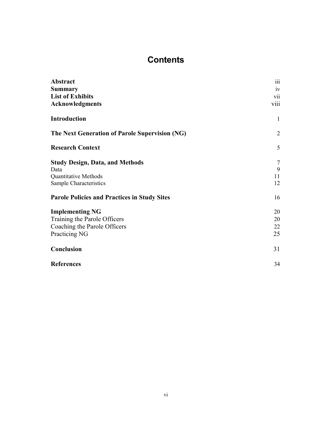# **Contents**

| Abstract                                            | iii          |
|-----------------------------------------------------|--------------|
| <b>Summary</b>                                      | 1V           |
| <b>List of Exhibits</b>                             | <b>V11</b>   |
| <b>Acknowledgments</b>                              | viii         |
| <b>Introduction</b>                                 | $\mathbf{1}$ |
| The Next Generation of Parole Supervision (NG)      | 2            |
| <b>Research Context</b>                             | 5            |
| <b>Study Design, Data, and Methods</b>              | 7            |
| Data                                                | 9            |
| <b>Quantitative Methods</b>                         | 11           |
| Sample Characteristics                              | 12           |
| <b>Parole Policies and Practices in Study Sites</b> | 16           |
| <b>Implementing NG</b>                              | 20           |
| Training the Parole Officers                        | 20           |
| Coaching the Parole Officers                        | 22           |
| Practicing NG                                       | 25           |
| Conclusion                                          | 31           |
| <b>References</b>                                   | 34           |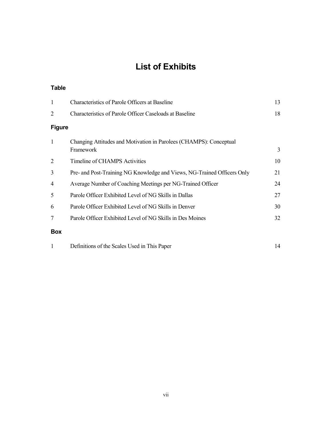# **List of Exhibits**

### **Table**

| $\mathbf{1}$   | <b>Characteristics of Parole Officers at Baseline</b>                           | 13 |
|----------------|---------------------------------------------------------------------------------|----|
| 2              | <b>Characteristics of Parole Officer Caseloads at Baseline</b>                  | 18 |
| <b>Figure</b>  |                                                                                 |    |
| $\mathbf{1}$   | Changing Attitudes and Motivation in Parolees (CHAMPS): Conceptual<br>Framework | 3  |
| 2              | Timeline of CHAMPS Activities                                                   | 10 |
| 3              | Pre- and Post-Training NG Knowledge and Views, NG-Trained Officers Only         | 21 |
| $\overline{4}$ | Average Number of Coaching Meetings per NG-Trained Officer                      | 24 |
| 5              | Parole Officer Exhibited Level of NG Skills in Dallas                           | 27 |
| 6              | Parole Officer Exhibited Level of NG Skills in Denver                           | 30 |
| 7              | Parole Officer Exhibited Level of NG Skills in Des Moines                       | 32 |
| <b>Box</b>     |                                                                                 |    |
|                | Definitions of the Scales Used in This Paper                                    | 14 |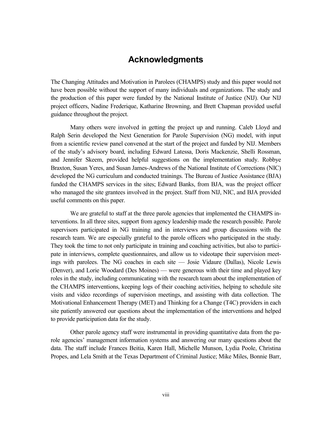# **Acknowledgments**

The Changing Attitudes and Motivation in Parolees (CHAMPS) study and this paper would not have been possible without the support of many individuals and organizations. The study and the production of this paper were funded by the National Institute of Justice (NIJ). Our NIJ project officers, Nadine Frederique, Katharine Browning, and Brett Chapman provided useful guidance throughout the project.

Many others were involved in getting the project up and running. Caleb Lloyd and Ralph Serin developed the Next Generation for Parole Supervision (NG) model, with input from a scientific review panel convened at the start of the project and funded by NIJ. Members of the study's advisory board, including Edward Latessa, Doris Mackenzie, Shelli Rossman, and Jennifer Skeem, provided helpful suggestions on the implementation study. Robbye Braxton, Susan Yeres, and Susan James-Andrews of the National Institute of Corrections (NIC) developed the NG curriculum and conducted trainings. The Bureau of Justice Assistance (BJA) funded the CHAMPS services in the sites; Edward Banks, from BJA, was the project officer who managed the site grantees involved in the project. Staff from NIJ, NIC, and BJA provided useful comments on this paper.

We are grateful to staff at the three parole agencies that implemented the CHAMPS interventions. In all three sites, support from agency leadership made the research possible. Parole supervisors participated in NG training and in interviews and group discussions with the research team. We are especially grateful to the parole officers who participated in the study. They took the time to not only participate in training and coaching activities, but also to participate in interviews, complete questionnaires, and allow us to videotape their supervision meetings with parolees. The NG coaches in each site — Josie Vidaure (Dallas), Nicole Lewis (Denver), and Lorie Woodard (Des Moines) — were generous with their time and played key roles in the study, including communicating with the research team about the implementation of the CHAMPS interventions, keeping logs of their coaching activities, helping to schedule site visits and video recordings of supervision meetings, and assisting with data collection. The Motivational Enhancement Therapy (MET) and Thinking for a Change (T4C) providers in each site patiently answered our questions about the implementation of the interventions and helped to provide participation data for the study.

Other parole agency staff were instrumental in providing quantitative data from the parole agencies' management information systems and answering our many questions about the data. The staff include Frances Beitia, Karen Hall, Michelle Munson, Lydia Poole, Christina Propes, and Lela Smith at the Texas Department of Criminal Justice; Mike Miles, Bonnie Barr,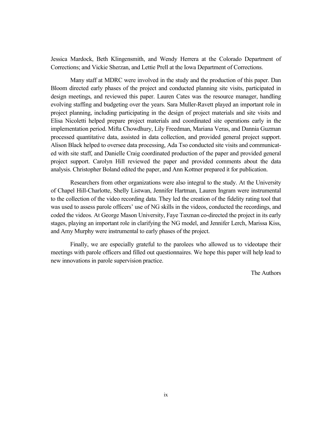Jessica Mardock, Beth Klingensmith, and Wendy Herrera at the Colorado Department of Corrections; and Vickie Sherzan, and Lettie Prell at the Iowa Department of Corrections.

Many staff at MDRC were involved in the study and the production of this paper. Dan Bloom directed early phases of the project and conducted planning site visits, participated in design meetings, and reviewed this paper. Lauren Cates was the resource manager, handling evolving staffing and budgeting over the years. Sara Muller-Ravett played an important role in project planning, including participating in the design of project materials and site visits and Elisa Nicoletti helped prepare project materials and coordinated site operations early in the implementation period. Mifta Chowdhury, Lily Freedman, Mariana Veras, and Dannia Guzman processed quantitative data, assisted in data collection, and provided general project support. Alison Black helped to oversee data processing, Ada Tso conducted site visits and communicated with site staff, and Danielle Craig coordinated production of the paper and provided general project support. Carolyn Hill reviewed the paper and provided comments about the data analysis. Christopher Boland edited the paper, and Ann Kottner prepared it for publication.

Researchers from other organizations were also integral to the study. At the University of Chapel Hill-Charlotte, Shelly Listwan, Jennifer Hartman, Lauren Ingram were instrumental to the collection of the video recording data. They led the creation of the fidelity rating tool that was used to assess parole officers' use of NG skills in the videos, conducted the recordings, and coded the videos. At George Mason University, Faye Taxman co-directed the project in its early stages, playing an important role in clarifying the NG model, and Jennifer Lerch, Marissa Kiss, and Amy Murphy were instrumental to early phases of the project.

Finally, we are especially grateful to the parolees who allowed us to videotape their meetings with parole officers and filled out questionnaires. We hope this paper will help lead to new innovations in parole supervision practice.

The Authors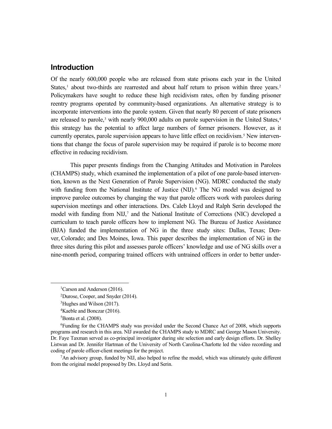# **Introduction**

Of the nearly 600,000 people who are released from state prisons each year in the United States, $<sup>1</sup>$  $<sup>1</sup>$  $<sup>1</sup>$  about two-thirds are rearrested and about half return to prison within three years.<sup>[2](#page-9-1)</sup></sup> Policymakers have sought to reduce these high recidivism rates, often by funding prisoner reentry programs operated by community-based organizations. An alternative strategy is to incorporate interventions into the parole system. Given that nearly 80 percent of state prisoners are released to parole,<sup>[3](#page-9-2)</sup> with nearly 900,000 adults on parole supervision in the United States, $4$ this strategy has the potential to affect large numbers of former prisoners. However, as it currently operates, parole supervision appears to have little effect on recidivism.<sup>[5](#page-9-4)</sup> New interventions that change the focus of parole supervision may be required if parole is to become more effective in reducing recidivism.

This paper presents findings from the Changing Attitudes and Motivation in Parolees (CHAMPS) study, which examined the implementation of a pilot of one parole-based intervention, known as the Next Generation of Parole Supervision (NG). MDRC conducted the study with funding from the National Institute of Justice  $(NIJ)$ .<sup>[6](#page-9-5)</sup> The NG model was designed to improve parolee outcomes by changing the way that parole officers work with parolees during supervision meetings and other interactions. Drs. Caleb Lloyd and Ralph Serin developed the model with funding from NIJ,<sup>[7](#page-9-6)</sup> and the National Institute of Corrections (NIC) developed a curriculum to teach parole officers how to implement NG. The Bureau of Justice Assistance (BJA) funded the implementation of NG in the three study sites: Dallas, Texas; Denver, Colorado; and Des Moines, Iowa. This paper describes the implementation of NG in the three sites during this pilot and assesses parole officers' knowledge and use of NG skills over a nine-month period, comparing trained officers with untrained officers in order to better under-

<span id="page-9-6"></span><sup>7</sup>An advisory group, funded by NIJ, also helped to refine the model, which was ultimately quite different from the original model proposed by Drs. Lloyd and Serin.

<span id="page-9-2"></span><span id="page-9-1"></span><span id="page-9-0"></span> <sup>1</sup> <sup>1</sup>Carson and Anderson (2016).

<sup>2</sup> Durose, Cooper, and Snyder (2014).

<sup>3</sup> Hughes and Wilson (2017).

<sup>4</sup> Kaeble and Bonczar (2016).

<sup>5</sup> Bonta et al. (2008).

<span id="page-9-5"></span><span id="page-9-4"></span><span id="page-9-3"></span><sup>6</sup> Funding for the CHAMPS study was provided under the Second Chance Act of 2008, which supports programs and research in this area. NIJ awarded the CHAMPS study to MDRC and George Mason University. Dr. Faye Taxman served as co-principal investigator during site selection and early design efforts. Dr. Shelley Listwan and Dr. Jennifer Hartman of the University of North Carolina-Charlotte led the video recording and coding of parole officer-client meetings for the project.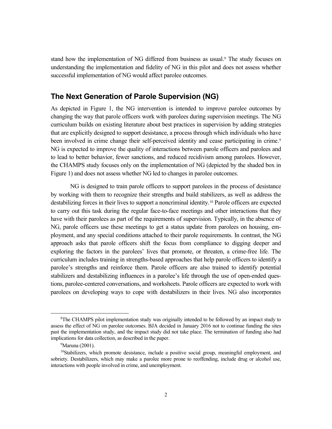stand how the implementation of NG differed from business as usual. [8](#page-10-0) The study focuses on understanding the implementation and fidelity of NG in this pilot and does not assess whether successful implementation of NG would affect parolee outcomes.

# **The Next Generation of Parole Supervision (NG)**

As depicted in Figure 1, the NG intervention is intended to improve parolee outcomes by changing the way that parole officers work with parolees during supervision meetings. The NG curriculum builds on existing literature about best practices in supervision by adding strategies that are explicitly designed to support desistance, a process through which individuals who have been involved in crime change their self-perceived identity and cease participating in crime.<sup>[9](#page-10-1)</sup> NG is expected to improve the quality of interactions between parole officers and parolees and to lead to better behavior, fewer sanctions, and reduced recidivism among parolees. However, the CHAMPS study focuses only on the implementation of NG (depicted by the shaded box in Figure 1) and does not assess whether NG led to changes in parolee outcomes.

NG is designed to train parole officers to support parolees in the process of desistance by working with them to recognize their strengths and build stabilizers, as well as address the destabilizing forces in their lives to support a noncriminal identity.[10](#page-10-2) Parole officers are expected to carry out this task during the regular face-to-face meetings and other interactions that they have with their parolees as part of the requirements of supervision. Typically, in the absence of NG, parole officers use these meetings to get a status update from parolees on housing, employment, and any special conditions attached to their parole requirements. In contrast, the NG approach asks that parole officers shift the focus from compliance to digging deeper and exploring the factors in the parolees' lives that promote, or threaten, a crime-free life. The curriculum includes training in strengths-based approaches that help parole officers to identify a parolee's strengths and reinforce them. Parole officers are also trained to identify potential stabilizers and destabilizing influences in a parolee's life through the use of open-ended questions, parolee-centered conversations, and worksheets. Parole officers are expected to work with parolees on developing ways to cope with destabilizers in their lives. NG also incorporates

<span id="page-10-0"></span> <sup>8</sup>  ${}^8$ The CHAMPS pilot implementation study was originally intended to be followed by an impact study to assess the effect of NG on parolee outcomes. BJA decided in January 2016 not to continue funding the sites past the implementation study, and the impact study did not take place. The termination of funding also had implications for data collection, as described in the paper.

<sup>&</sup>lt;sup>9</sup>Maruna (2001).

<span id="page-10-2"></span><span id="page-10-1"></span> $10$ Stabilizers, which promote desistance, include a positive social group, meaningful employment, and sobriety. Destabilizers, which may make a parolee more prone to reoffending, include drug or alcohol use, interactions with people involved in crime, and unemployment.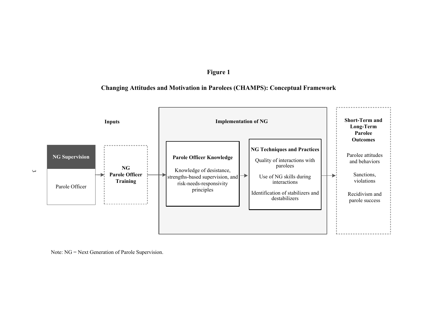## **Figure 1**

## **Changing Attitudes and Motivation in Parolees (CHAMPS): Conceptual Framework**



Note: NG = Next Generation of Parole Supervision.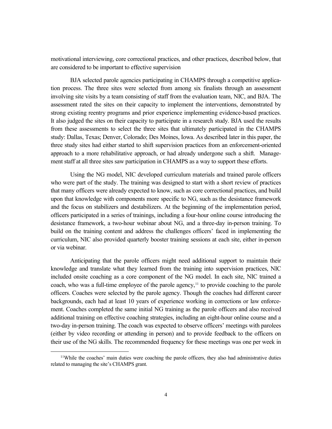motivational interviewing, core correctional practices, and other practices, described below, that are considered to be important to effective supervision

BJA selected parole agencies participating in CHAMPS through a competitive application process. The three sites were selected from among six finalists through an assessment involving site visits by a team consisting of staff from the evaluation team, NIC, and BJA. The assessment rated the sites on their capacity to implement the interventions, demonstrated by strong existing reentry programs and prior experience implementing evidence-based practices. It also judged the sites on their capacity to participate in a research study. BJA used the results from these assessments to select the three sites that ultimately participated in the CHAMPS study: Dallas, Texas; Denver, Colorado; Des Moines, Iowa. As described later in this paper, the three study sites had either started to shift supervision practices from an enforcement-oriented approach to a more rehabilitative approach, or had already undergone such a shift. Management staff at all three sites saw participation in CHAMPS as a way to support these efforts.

Using the NG model, NIC developed curriculum materials and trained parole officers who were part of the study. The training was designed to start with a short review of practices that many officers were already expected to know, such as core correctional practices, and build upon that knowledge with components more specific to NG, such as the desistance framework and the focus on stabilizers and destabilizers. At the beginning of the implementation period, officers participated in a series of trainings, including a four-hour online course introducing the desistance framework, a two-hour webinar about NG, and a three-day in-person training. To build on the training content and address the challenges officers' faced in implementing the curriculum, NIC also provided quarterly booster training sessions at each site, either in-person or via webinar.

Anticipating that the parole officers might need additional support to maintain their knowledge and translate what they learned from the training into supervision practices, NIC included onsite coaching as a core component of the NG model. In each site, NIC trained a coach, who was a full-time employee of the parole agency,<sup>[11](#page-12-0)</sup> to provide coaching to the parole officers. Coaches were selected by the parole agency. Though the coaches had different career backgrounds, each had at least 10 years of experience working in corrections or law enforcement. Coaches completed the same initial NG training as the parole officers and also received additional training on effective coaching strategies, including an eight-hour online course and a two-day in-person training. The coach was expected to observe officers' meetings with parolees (either by video recording or attending in person) and to provide feedback to the officers on their use of the NG skills. The recommended frequency for these meetings was one per week in

<span id="page-12-0"></span><sup>&</sup>lt;sup>11</sup>While the coaches' main duties were coaching the parole officers, they also had administrative duties related to managing the site's CHAMPS grant.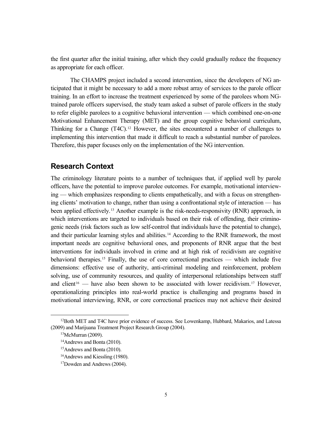the first quarter after the initial training, after which they could gradually reduce the frequency as appropriate for each officer.

The CHAMPS project included a second intervention, since the developers of NG anticipated that it might be necessary to add a more robust array of services to the parole officer training. In an effort to increase the treatment experienced by some of the parolees whom NGtrained parole officers supervised, the study team asked a subset of parole officers in the study to refer eligible parolees to a cognitive behavioral intervention — which combined one-on-one Motivational Enhancement Therapy (MET) and the group cognitive behavioral curriculum, Thinking for a Change  $(T4C)^{12}$  $(T4C)^{12}$  $(T4C)^{12}$  However, the sites encountered a number of challenges to implementing this intervention that made it difficult to reach a substantial number of parolees. Therefore, this paper focuses only on the implementation of the NG intervention.

## **Research Context**

The criminology literature points to a number of techniques that, if applied well by parole officers, have the potential to improve parolee outcomes. For example, motivational interviewing — which emphasizes responding to clients empathetically, and with a focus on strengthening clients' motivation to change, rather than using a confrontational style of interaction — has been applied effectively.<sup>[13](#page-13-1)</sup> Another example is the risk-needs-responsivity (RNR) approach, in which interventions are targeted to individuals based on their risk of offending, their criminogenic needs (risk factors such as low self-control that individuals have the potential to change), and their particular learning styles and abilities.<sup>[14](#page-13-2)</sup> According to the RNR framework, the most important needs are cognitive behavioral ones, and proponents of RNR argue that the best interventions for individuals involved in crime and at high risk of recidivism are cognitive behavioral therapies.<sup>[15](#page-13-3)</sup> Finally, the use of core correctional practices — which include five dimensions: effective use of authority, anti-criminal modeling and reinforcement, problem solving, use of community resources, and quality of interpersonal relationships between staff and client<sup>[16](#page-13-4)</sup> — have also been shown to be associated with lower recidivism.<sup>[17](#page-13-5)</sup> However, operationalizing principles into real-world practice is challenging and programs based in motivational interviewing, RNR, or core correctional practices may not achieve their desired

<span id="page-13-3"></span><span id="page-13-2"></span><span id="page-13-1"></span><span id="page-13-0"></span> $12$ Both MET and T4C have prior evidence of success. See Lowenkamp, Hubbard, Makarios, and Latessa (2009) and Marijuana Treatment Project Research Group (2004).

 $13$ McMurran (2009).

<sup>14</sup>Andrews and Bonta (2010).

<sup>15</sup>Andrews and Bonta (2010).

<span id="page-13-4"></span><sup>16</sup>Andrews and Kiessling (1980).

<span id="page-13-5"></span><sup>17</sup>Dowden and Andrews (2004).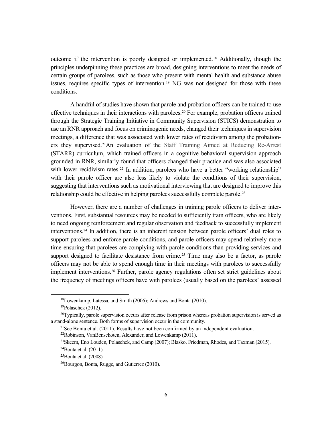outcome if the intervention is poorly designed or implemented. [18](#page-14-0) Additionally, though the principles underpinning these practices are broad, designing interventions to meet the needs of certain groups of parolees, such as those who present with mental health and substance abuse issues, requires specific types of intervention.[19](#page-14-1) NG was not designed for those with these conditions.

A handful of studies have shown that parole and probation officers can be trained to use effective techniques in their interactions with parolees.<sup>[20](#page-14-2)</sup> For example, probation officers trained through the Strategic Training Initiative in Community Supervision (STICS) demonstration to use an RNR approach and focus on criminogenic needs, changed their techniques in supervision meetings, a difference that was associated with lower rates of recidivism among the probationers they supervised.[21](#page-14-3)An evaluation of the Staff Training Aimed at Reducing Re-Arrest (STARR) curriculum, which trained officers in a cognitive behavioral supervision approach grounded in RNR, similarly found that officers changed their practice and was also associated with lower recidivism rates.<sup>[22](#page-14-4)</sup> In addition, parolees who have a better "working relationship" with their parole officer are also less likely to violate the conditions of their supervision, suggesting that interventions such as motivational interviewing that are designed to improve this relationship could be effective in helping parolees successfully complete parole.<sup>23</sup>

However, there are a number of challenges in training parole officers to deliver interventions. First, substantial resources may be needed to sufficiently train officers, who are likely to need ongoing reinforcement and regular observation and feedback to successfully implement interventions.[24](#page-14-6) In addition, there is an inherent tension between parole officers' dual roles to support parolees and enforce parole conditions, and parole officers may spend relatively more time ensuring that parolees are complying with parole conditions than providing services and support designed to facilitate desistance from crime.<sup>[25](#page-14-7)</sup> Time may also be a factor, as parole officers may not be able to spend enough time in their meetings with parolees to successfully implement interventions.[26](#page-14-8) Further, parole agency regulations often set strict guidelines about the frequency of meetings officers have with parolees (usually based on the parolees' assessed

 <sup>18</sup>Lowenkamp, Latessa, and Smith (2006); Andrews and Bonta (2010).

<sup>19</sup>Polaschek (2012).

<span id="page-14-5"></span><span id="page-14-4"></span><span id="page-14-3"></span><span id="page-14-2"></span><span id="page-14-1"></span><span id="page-14-0"></span> $^{20}$ Typically, parole supervision occurs after release from prison whereas probation supervision is served as a stand-alone sentence. Both forms of supervision occur in the community.

<sup>&</sup>lt;sup>21</sup>See Bonta et al. (2011). Results have not been confirmed by an independent evaluation. <sup>22</sup>Robinson, VanBenschoten, Alexander, and Lowenkamp (2011).

<sup>23</sup>Skeem, Eno Louden, Polaschek, and Camp (2007); Blasko, Friedman, Rhodes, and Taxman (2015).

<span id="page-14-7"></span><span id="page-14-6"></span><sup>&</sup>lt;sup>24</sup>Bonta et al.  $(2011)$ .

 $25$ Bonta et al. (2008).

<span id="page-14-8"></span><sup>26</sup>Bourgon, Bonta, Rugge, and Gutierrez (2010).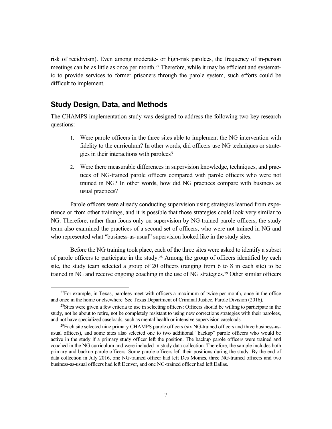risk of recidivism). Even among moderate- or high-risk parolees, the frequency of in-person meetings can be as little as once per month.<sup>27</sup> Therefore, while it may be efficient and systematic to provide services to former prisoners through the parole system, such efforts could be difficult to implement.

# **Study Design, Data, and Methods**

The CHAMPS implementation study was designed to address the following two key research questions:

- 1. Were parole officers in the three sites able to implement the NG intervention with fidelity to the curriculum? In other words, did officers use NG techniques or strategies in their interactions with parolees?
- 2. Were there measurable differences in supervision knowledge, techniques, and practices of NG-trained parole officers compared with parole officers who were not trained in NG? In other words, how did NG practices compare with business as usual practices?

Parole officers were already conducting supervision using strategies learned from experience or from other trainings, and it is possible that those strategies could look very similar to NG. Therefore, rather than focus only on supervision by NG-trained parole officers, the study team also examined the practices of a second set of officers, who were not trained in NG and who represented what "business-as-usual" supervision looked like in the study sites.

Before the NG training took place, each of the three sites were asked to identify a subset of parole officers to participate in the study.<sup>[28](#page-15-1)</sup> Among the group of officers identified by each site, the study team selected a group of 20 officers (ranging from 6 to 8 in each site) to be trained in NG and receive ongoing coaching in the use of NG strategies.[29](#page-15-2) Other similar officers

<span id="page-15-0"></span><sup>&</sup>lt;sup>27</sup>For example, in Texas, parolees meet with officers a maximum of twice per month, once in the office and once in the home or elsewhere. See Texas Department of Criminal Justice, Parole Division (2016).

<span id="page-15-1"></span><sup>&</sup>lt;sup>28</sup>Sites were given a few criteria to use in selecting officers: Officers should be willing to participate in the study, not be about to retire, not be completely resistant to using new corrections strategies with their parolees, and not have specialized caseloads, such as mental health or intensive supervision caseloads.

<span id="page-15-2"></span> $^{29}$ Each site selected nine primary CHAMPS parole officers (six NG-trained officers and three business-asusual officers), and some sites also selected one to two additional "backup" parole officers who would be active in the study if a primary study officer left the position. The backup parole officers were trained and coached in the NG curriculum and were included in study data collection. Therefore, the sample includes both primary and backup parole officers. Some parole officers left their positions during the study. By the end of data collection in July 2016, one NG-trained officer had left Des Moines, three NG-trained officers and two business-as-usual officers had left Denver, and one NG-trained officer had left Dallas.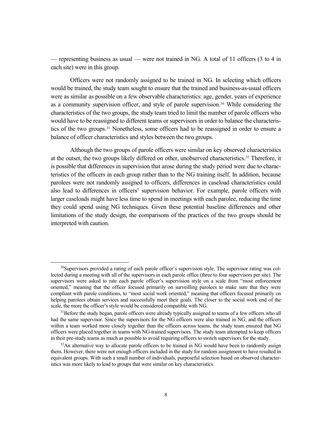— representing business as usual — were not trained in NG. A total of 11 officers (3 to 4 in each site) were in this group.

Officers were not randomly assigned to be trained in NG. In selecting which officers would be trained, the study team sought to ensure that the trained and business-as-usual officers were as similar as possible on a few observable characteristics: age, gender, years of experience as a community supervision officer, and style of parole supervision.<sup>[30](#page-16-0)</sup> While considering the characteristics of the two groups, the study team tried to limit the number of parole officers who would have to be reassigned to different teams or supervisors in order to balance the characteristics of the two groups.[31](#page-16-1) Nonetheless, some officers had to be reassigned in order to ensure a balance of officer characteristics and styles between the two groups.

Although the two groups of parole officers were similar on key observed characteristics at the outset, the two groups likely differed on other, unobserved characteristics.[32](#page-16-2) Therefore, it is possible that differences in supervision that arose during the study period were due to characteristics of the officers in each group rather than to the NG training itself. In addition, because parolees were not randomly assigned to officers, differences in caseload characteristics could also lead to differences in officers' supervision behavior. For example, parole officers with larger caseloads might have less time to spend in meetings with each parolee, reducing the time they could spend using NG techniques. Given these potential baseline differences and other limitations of the study design, the comparisons of the practices of the two groups should be interpreted with caution.

<span id="page-16-0"></span> $30$ Supervisors provided a rating of each parole officer's supervision style. The supervisor rating was collected during a meeting with all of the supervisors in each parole office (three to four supervisors per site). The supervisors were asked to rate each parole officer's supervision style on a scale from "most enforcement oriented," meaning that the officer focused primarily on surveilling parolees to make sure that they were compliant with parole conditions, to "most social work oriented," meaning that officers focused primarily on helping parolees obtain services and successfully meet their goals. The closer to the social work end of the scale, the more the officer's style would be considered compatible with NG.

<span id="page-16-1"></span><sup>&</sup>lt;sup>31</sup>Before the study began, parole officers were already typically assigned to teams of a few officers who all had the same supervisor. Since the supervisors for the NG officers were also trained in NG, and the officers within a team worked more closely together than the officers across teams, the study team ensured that NG officers were placed together in teams with NG-trained supervisors. The study team attempted to keep officers in their pre-study teams as much as possible to avoid requiring officers to switch supervisors for the study.<br><sup>32</sup>An alternative way to allocate parole officers to be trained in NG would have been to randomly assign

<span id="page-16-2"></span>them. However, there were not enough officers included in the study for random assignment to have resulted in equivalent groups. With such a small number of individuals, purposeful selection based on observed characteristics was more likely to lead to groups that were similar on key characteristics.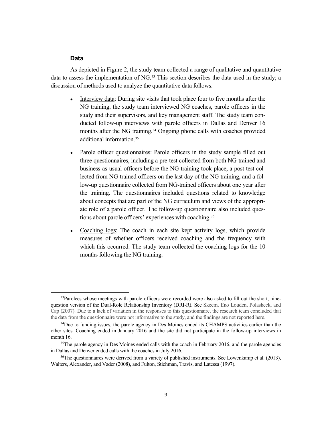#### **Data**

As depicted in Figure 2, the study team collected a range of qualitative and quantitative data to assess the implementation of NG.<sup>[33](#page-17-0)</sup> This section describes the data used in the study; a discussion of methods used to analyze the quantitative data follows.

- Interview data: During site visits that took place four to five months after the NG training, the study team interviewed NG coaches, parole officers in the study and their supervisors, and key management staff. The study team conducted follow-up interviews with parole officers in Dallas and Denver 16 months after the NG training.<sup>[34](#page-17-1)</sup> Ongoing phone calls with coaches provided additional information<sup>[35](#page-17-2)</sup>
- Parole officer questionnaires: Parole officers in the study sample filled out three questionnaires, including a pre-test collected from both NG-trained and business-as-usual officers before the NG training took place, a post-test collected from NG-trained officers on the last day of the NG training, and a follow-up questionnaire collected from NG-trained officers about one year after the training. The questionnaires included questions related to knowledge about concepts that are part of the NG curriculum and views of the appropriate role of a parole officer. The follow-up questionnaire also included ques-tions about parole officers' experiences with coaching.<sup>[36](#page-17-3)</sup>
- Coaching logs: The coach in each site kept activity logs, which provide measures of whether officers received coaching and the frequency with which this occurred. The study team collected the coaching logs for the 10 months following the NG training.

<span id="page-17-0"></span><sup>&</sup>lt;sup>33</sup>Parolees whose meetings with parole officers were recorded were also asked to fill out the short, ninequestion version of the Dual-Role Relationship Inventory (DRI-R). See Skeem, Eno Louden, Polasheck, and Cap (2007). Due to a lack of variation in the responses to this questionnaire, the research team concluded that the data from the questionnaire were not informative to the study, and the findings are not reported here.

<span id="page-17-1"></span><sup>&</sup>lt;sup>34</sup>Due to funding issues, the parole agency in Des Moines ended its CHAMPS activities earlier than the other sites. Coaching ended in January 2016 and the site did not participate in the follow-up interviews in month 16.

<span id="page-17-2"></span><sup>&</sup>lt;sup>35</sup>The parole agency in Des Moines ended calls with the coach in February 2016, and the parole agencies in Dallas and Denver ended calls with the coaches in July 2016.

<span id="page-17-3"></span> $36$ The questionnaires were derived from a variety of published instruments. See Lowenkamp et al. (2013), Walters, Alexander, and Vader (2008), and Fulton, Stichman, Travis, and Latessa (1997).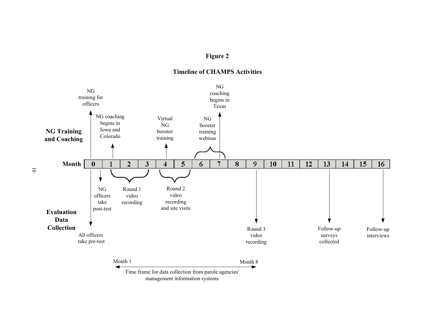# **Figure 2**





Time frame for data collection from parole agencies' management information systems

10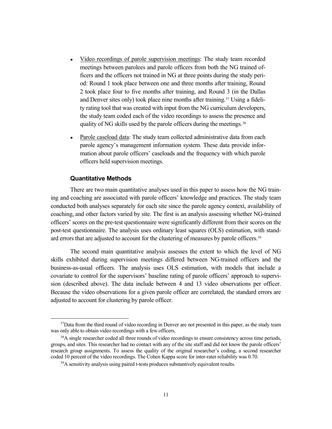- Video recordings of parole supervision meetings: The study team recorded meetings between parolees and parole officers from both the NG trained officers and the officers not trained in NG at three points during the study period: Round 1 took place between one and three months after training, Round 2 took place four to five months after training, and Round 3 (in the Dallas and Denver sites only) took place nine months after training.[37](#page-19-0) Using a fidelity rating tool that was created with input from the NG curriculum developers, the study team coded each of the video recordings to assess the presence and quality of NG skills used by the parole officers during the meetings.<sup>[38](#page-19-1)</sup>
- Parole caseload data: The study team collected administrative data from each parole agency's management information system. These data provide information about parole officers' caseloads and the frequency with which parole officers held supervision meetings.

### **Quantitative Methods**

There are two main quantitative analyses used in this paper to assess how the NG training and coaching are associated with parole officers' knowledge and practices. The study team conducted both analyses separately for each site since the parole agency context, availability of coaching, and other factors varied by site. The first is an analysis assessing whether NG-trained officers' scores on the pre-test questionnaire were significantly different from their scores on the post-test questionnaire. The analysis uses ordinary least squares (OLS) estimation, with stand-ard errors that are adjusted to account for the clustering of measures by parole officers.<sup>[39](#page-19-2)</sup>

The second main quantitative analysis assesses the extent to which the level of NG skills exhibited during supervision meetings differed between NG-trained officers and the business-as-usual officers. The analysis uses OLS estimation, with models that include a covariate to control for the supervisors' baseline rating of parole officers' approach to supervision (described above). The data include between 4 and 13 video observations per officer. Because the video observations for a given parole officer are correlated, the standard errors are adjusted to account for clustering by parole officer.

<span id="page-19-0"></span><sup>&</sup>lt;sup>37</sup>Data from the third round of video recording in Denver are not presented in this paper, as the study team was only able to obtain video recordings with a few officers.

<span id="page-19-2"></span><span id="page-19-1"></span> $38A$  single researcher coded all three rounds of video recordings to ensure consistency across time periods, groups, and sites. This researcher had no contact with any of the site staff and did not know the parole officers' research group assignments. To assess the quality of the original researcher's coding, a second researcher coded 10 percent of the video recordings. The Cohen Kappa score for inter-rater reliability was 0.70.

<sup>&</sup>lt;sup>39</sup>A sensitivity analysis using paired t-tests produces substantively equivalent results.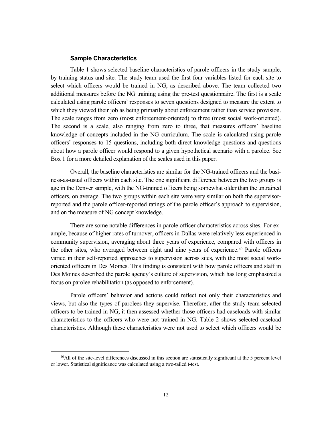#### **Sample Characteristics**

Table 1 shows selected baseline characteristics of parole officers in the study sample, by training status and site. The study team used the first four variables listed for each site to select which officers would be trained in NG, as described above. The team collected two additional measures before the NG training using the pre-test questionnaire. The first is a scale calculated using parole officers' responses to seven questions designed to measure the extent to which they viewed their job as being primarily about enforcement rather than service provision. The scale ranges from zero (most enforcement-oriented) to three (most social work-oriented). The second is a scale, also ranging from zero to three, that measures officers' baseline knowledge of concepts included in the NG curriculum. The scale is calculated using parole officers' responses to 15 questions, including both direct knowledge questions and questions about how a parole officer would respond to a given hypothetical scenario with a parolee. See Box 1 for a more detailed explanation of the scales used in this paper.

Overall, the baseline characteristics are similar for the NG-trained officers and the business-as-usual officers within each site. The one significant difference between the two groups is age in the Denver sample, with the NG-trained officers being somewhat older than the untrained officers, on average. The two groups within each site were very similar on both the supervisorreported and the parole officer-reported ratings of the parole officer's approach to supervision, and on the measure of NG concept knowledge.

There are some notable differences in parole officer characteristics across sites. For example, because of higher rates of turnover, officers in Dallas were relatively less experienced in community supervision, averaging about three years of experience, compared with officers in the other sites, who averaged between eight and nine years of experience.[40](#page-20-0) Parole officers varied in their self-reported approaches to supervision across sites, with the most social workoriented officers in Des Moines. This finding is consistent with how parole officers and staff in Des Moines described the parole agency's culture of supervision, which has long emphasized a focus on parolee rehabilitation (as opposed to enforcement).

Parole officers' behavior and actions could reflect not only their characteristics and views, but also the types of parolees they supervise. Therefore, after the study team selected officers to be trained in NG, it then assessed whether those officers had caseloads with similar characteristics to the officers who were not trained in NG. Table 2 shows selected caseload characteristics. Although these characteristics were not used to select which officers would be

<span id="page-20-0"></span> <sup>40</sup>All of the site-level differences discussed in this section are statistically significant at the 5 percent level or lower. Statistical significance was calculated using a two-tailed t-test.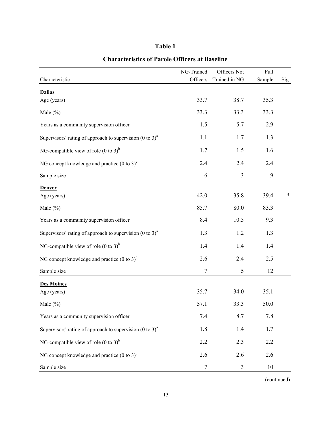| m<br>и |  |
|--------|--|
|--------|--|

|                                                                        | NG-Trained       | Officers Not   | Full   |        |
|------------------------------------------------------------------------|------------------|----------------|--------|--------|
| Characteristic                                                         | Officers         | Trained in NG  | Sample | Sig.   |
| <b>Dallas</b>                                                          |                  |                |        |        |
| Age (years)                                                            | 33.7             | 38.7           | 35.3   |        |
| Male $(\% )$                                                           | 33.3             | 33.3           | 33.3   |        |
| Years as a community supervision officer                               | 1.5              | 5.7            | 2.9    |        |
| Supervisors' rating of approach to supervision $(0 \text{ to } 3)^{a}$ | 1.1              | 1.7            | 1.3    |        |
| NG-compatible view of role (0 to 3) <sup>b</sup>                       | 1.7              | 1.5            | 1.6    |        |
| NG concept knowledge and practice $(0 \text{ to } 3)^c$                | 2.4              | 2.4            | 2.4    |        |
| Sample size                                                            | 6                | $\mathfrak{Z}$ | 9      |        |
| <b>Denver</b>                                                          |                  |                |        |        |
| Age (years)                                                            | 42.0             | 35.8           | 39.4   | $\ast$ |
| Male (%)                                                               | 85.7             | 80.0           | 83.3   |        |
| Years as a community supervision officer                               | 8.4              | 10.5           | 9.3    |        |
| Supervisors' rating of approach to supervision $(0 \text{ to } 3)^{a}$ | 1.3              | 1.2            | 1.3    |        |
| NG-compatible view of role (0 to 3) <sup>b</sup>                       | 1.4              | 1.4            | 1.4    |        |
| NG concept knowledge and practice $(0 \text{ to } 3)^c$                | 2.6              | 2.4            | 2.5    |        |
| Sample size                                                            | $\boldsymbol{7}$ | $\mathfrak s$  | 12     |        |
| <b>Des Moines</b>                                                      |                  |                |        |        |
| Age (years)                                                            | 35.7             | 34.0           | 35.1   |        |
| Male $(\% )$                                                           | 57.1             | 33.3           | 50.0   |        |
| Years as a community supervision officer                               | 7.4              | 8.7            | 7.8    |        |
| Supervisors' rating of approach to supervision $(0 \text{ to } 3)^{a}$ | 1.8              | 1.4            | 1.7    |        |
| NG-compatible view of role (0 to 3) <sup>b</sup>                       | 2.2              | 2.3            | 2.2    |        |
| NG concept knowledge and practice $(0 \text{ to } 3)^c$                | 2.6              | 2.6            | 2.6    |        |
| Sample size                                                            | 7                | $\mathfrak{Z}$ | 10     |        |

# **Characteristics of Parole Officers at Baseline**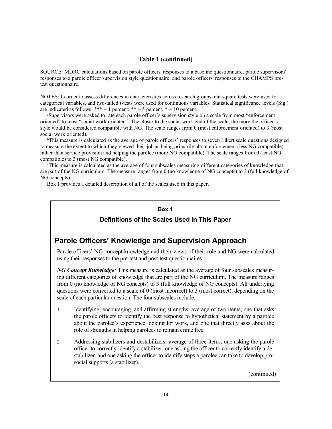### **Table 1 (continued)**

SOURCE: MDRC calculations based on parole officers' responses to a baseline questionnaire, parole supervisors' responses to a parole officer supervision style questionnaire, and parole officers' responses to the CHAMPS pretest questionnaire.

NOTES: In order to assess differences in characteristics across research groups, chi-square tests were used for categorical variables, and two-tailed t-tests were used for continuous variables. Statistical significance levels (Sig.) are indicated as follows: \*\*\* = 1 percent; \*\* = 5 percent; \* = 10 percent.

a Supervisors were asked to rate each parole officer's supervision style on a scale from most "enforcement oriented" to most "social work oriented." The closer to the social work end of the scale, the more the officer's style would be considered compatible with NG. The scale ranges from 0 (most enforcement oriented) to 3 (most social work oriented).

bThis measure is calculated as the average of parole officers' responses to seven Likert scale questions designed to measure the extent to which they viewed their job as being primarily about enforcement (less NG compatible) rather than service provision and helping the parolee (more NG compatible). The scale ranges from 0 (least NG compatible) to 3 (most NG compatible).

c This measure is calculated as the average of four subscales measuring different categories of knowledge that are part of the NG curriculum. The measure ranges from 0 (no knowledge of NG concepts) to 3 (full knowledge of NG concepts).

Box 1 provides a detailed description of all of the scales used in this paper.

#### **Box 1**

## **Definitions of the Scales Used in This Paper**

# **Parole Officers' Knowledge and Supervision Approach**

Parole officers' NG concept knowledge and their views of their role and NG were calculated using their responses to the pre-test and post-test questionnaires.

*NG Concept Knowledge:* This measure is calculated as the average of four subscales measuring different categories of knowledge that are part of the NG curriculum. The measure ranges from 0 (no knowledge of NG concepts) to 3 (full knowledge of NG concepts). All underlying questions were converted to a scale of 0 (most incorrect) to 3 (most correct), depending on the scale of each particular question. The four subscales include:

- 1. Identifying, encouraging, and affirming strengths: average of two items, one that asks the parole officers to identify the best response to hypothetical statement by a parolee about the parolee's experience looking for work, and one that directly asks about the role of strengths in helping parolees to remain crime free.
- 2. Addressing stabilizers and destabilizers: average of three items, one asking the parole officer to correctly identify a stabilizer, one asking the officer to correctly identify a destabilizer, and one asking the officer to identify steps a parolee can take to develop prosocial supports (a stabilizer).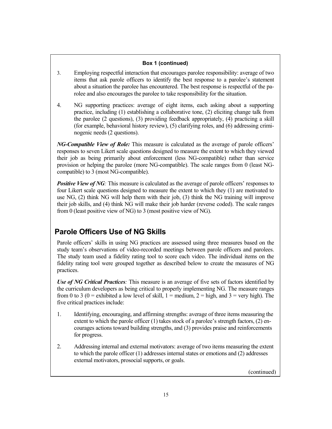### **Box 1 (continued)**

- 3. Employing respectful interaction that encourages parolee responsibility: average of two items that ask parole officers to identify the best response to a parolee's statement about a situation the parolee has encountered. The best response is respectful of the parolee and also encourages the parolee to take responsibility for the situation.
- 4. NG supporting practices: average of eight items, each asking about a supporting practice, including (1) establishing a collaborative tone, (2) eliciting change talk from the parolee (2 questions), (3) providing feedback appropriately, (4) practicing a skill (for example, behavioral history review), (5) clarifying roles, and (6) addressing criminogenic needs (2 questions).

*NG-Compatible View of Role:* This measure is calculated as the average of parole officers' responses to seven Likert scale questions designed to measure the extent to which they viewed their job as being primarily about enforcement (less NG-compatible) rather than service provision or helping the parolee (more NG-compatible). The scale ranges from 0 (least NGcompatible) to 3 (most NG-compatible).

*Positive View of NG*: This measure is calculated as the average of parole officers' responses to four Likert scale questions designed to measure the extent to which they (1) are motivated to use NG, (2) think NG will help them with their job, (3) think the NG training will improve their job skills, and (4) think NG will make their job harder (reverse coded). The scale ranges from 0 (least positive view of NG) to 3 (most positive view of NG).

# **Parole Officers Use of NG Skills**

Parole officers' skills in using NG practices are assessed using three measures based on the study team's observations of video-recorded meetings between parole officers and parolees. The study team used a fidelity rating tool to score each video. The individual items on the fidelity rating tool were grouped together as described below to create the measures of NG practices.

*Use of NG Critical Practices:* This measure is an average of five sets of factors identified by the curriculum developers as being critical to properly implementing NG. The measure ranges from 0 to 3 (0 = exhibited a low level of skill,  $1 = \text{medium}, 2 = \text{high}, \text{and } 3 = \text{very high}$ ). The five critical practices include:

- 1. Identifying, encouraging, and affirming strengths: average of three items measuring the extent to which the parole officer (1) takes stock of a parolee's strength factors, (2) encourages actions toward building strengths, and (3) provides praise and reinforcements for progress.
- 2. Addressing internal and external motivators: average of two items measuring the extent to which the parole officer (1) addresses internal states or emotions and (2) addresses external motivators, prosocial supports, or goals.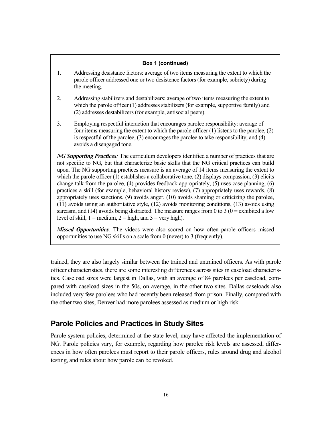#### **Box 1 (continued)**

- 1. Addressing desistance factors: average of two items measuring the extent to which the parole officer addressed one or two desistence factors (for example, sobriety) during the meeting.
- 2. Addressing stabilizers and destabilizers: average of two items measuring the extent to which the parole officer (1) addresses stabilizers (for example, supportive family) and (2) addresses destabilizers (for example, antisocial peers).
- 3. Employing respectful interaction that encourages parolee responsibility: average of four items measuring the extent to which the parole officer (1) listens to the parolee, (2) is respectful of the parolee, (3) encourages the parolee to take responsibility, and (4) avoids a disengaged tone.

*NG Supporting Practices:* The curriculum developers identified a number of practices that are not specific to NG, but that characterize basic skills that the NG critical practices can build upon. The NG supporting practices measure is an average of 14 items measuring the extent to which the parole officer  $(1)$  establishes a collaborative tone,  $(2)$  displays compassion,  $(3)$  elicits change talk from the parolee, (4) provides feedback appropriately, (5) uses case planning, (6) practices a skill (for example, behavioral history review), (7) appropriately uses rewards, (8) appropriately uses sanctions, (9) avoids anger, (10) avoids shaming or criticizing the parolee, (11) avoids using an authoritative style, (12) avoids monitoring conditions, (13) avoids using sarcasm, and (14) avoids being distracted. The measure ranges from 0 to 3 ( $0 =$  exhibited a low level of skill,  $1 = \text{medium}, 2 = \text{high}, \text{and } 3 = \text{very high}.$ 

*Missed Opportunities:* The videos were also scored on how often parole officers missed opportunities to use NG skills on a scale from 0 (never) to 3 (frequently).

trained, they are also largely similar between the trained and untrained officers. As with parole officer characteristics, there are some interesting differences across sites in caseload characteristics. Caseload sizes were largest in Dallas, with an average of 84 parolees per caseload, compared with caseload sizes in the 50s, on average, in the other two sites. Dallas caseloads also included very few parolees who had recently been released from prison. Finally, compared with the other two sites, Denver had more parolees assessed as medium or high risk.

# **Parole Policies and Practices in Study Sites**

Parole system policies, determined at the state level, may have affected the implementation of NG. Parole policies vary, for example, regarding how parolee risk levels are assessed, differences in how often parolees must report to their parole officers, rules around drug and alcohol testing, and rules about how parole can be revoked.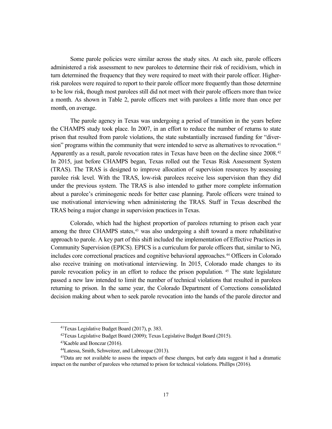Some parole policies were similar across the study sites. At each site, parole officers administered a risk assessment to new parolees to determine their risk of recidivism, which in turn determined the frequency that they were required to meet with their parole officer. Higherrisk parolees were required to report to their parole officer more frequently than those determine to be low risk, though most parolees still did not meet with their parole officers more than twice a month. As shown in Table 2, parole officers met with parolees a little more than once per month, on average.

The parole agency in Texas was undergoing a period of transition in the years before the CHAMPS study took place. In 2007, in an effort to reduce the number of returns to state prison that resulted from parole violations, the state substantially increased funding for "diver-sion" programs within the community that were intended to serve as alternatives to revocation.<sup>[41](#page-25-0)</sup> Apparently as a result, parole revocation rates in Texas have been on the decline since 2008.[42](#page-25-1) In 2015, just before CHAMPS began, Texas rolled out the Texas Risk Assessment System (TRAS). The TRAS is designed to improve allocation of supervision resources by assessing parolee risk level. With the TRAS, low-risk parolees receive less supervision than they did under the previous system. The TRAS is also intended to gather more complete information about a parolee's criminogenic needs for better case planning. Parole officers were trained to use motivational interviewing when administering the TRAS. Staff in Texas described the TRAS being a major change in supervision practices in Texas.

Colorado, which had the highest proportion of parolees returning to prison each year among the three CHAMPS states, $43$  was also undergoing a shift toward a more rehabilitative approach to parole. A key part of this shift included the implementation of Effective Practices in Community Supervision (EPICS). EPICS is a curriculum for parole officers that, similar to NG, includes core correctional practices and cognitive behavioral approaches.<sup>[44](#page-25-3)</sup> Officers in Colorado also receive training on motivational interviewing. In 2015, Colorado made changes to its parole revocation policy in an effort to reduce the prison population. [45](#page-25-4) The state legislature passed a new law intended to limit the number of technical violations that resulted in parolees returning to prison. In the same year, the Colorado Department of Corrections consolidated decision making about when to seek parole revocation into the hands of the parole director and

 <sup>41</sup>Texas Legislative Budget Board (2017), p. 383.

<sup>42</sup>Texas Legislative Budget Board (2009); Texas Legislative Budget Board (2015).

<sup>43</sup>Kaeble and Bonczar (2016).

<sup>44</sup>Latessa, Smith, Schweitzer, and Labrecque (2013).

<span id="page-25-4"></span><span id="page-25-3"></span><span id="page-25-2"></span><span id="page-25-1"></span><span id="page-25-0"></span><sup>45</sup>Data are not available to assess the impacts of these changes, but early data suggest it had a dramatic impact on the number of parolees who returned to prison for technical violations. Phillips (2016).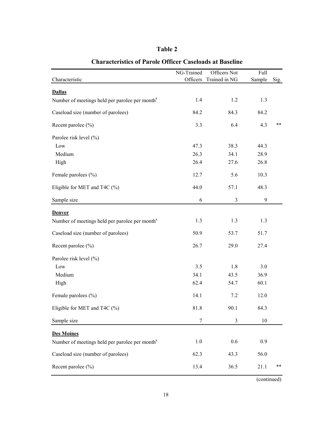| able |  |
|------|--|
|------|--|

|                                                            | NG-Trained | Officers Not   | Full   |       |
|------------------------------------------------------------|------------|----------------|--------|-------|
| Characteristic                                             | Officers   | Trained in NG  | Sample | Sig.  |
| <b>Dallas</b>                                              |            |                |        |       |
| Number of meetings held per parolee per month <sup>a</sup> | 1.4        | 1.2            | 1.3    |       |
| Caseload size (number of parolees)                         | 84.2       | 84.3           | 84.2   |       |
| Recent parolee (%)                                         | 3.3        | 6.4            | 4.3    | $***$ |
| Parolee risk level (%)                                     |            |                |        |       |
| Low                                                        | 47.3       | 38.3           | 44.3   |       |
| Medium                                                     | 26.3       | 34.1           | 28.9   |       |
| High                                                       | 26.4       | 27.6           | 26.8   |       |
| Female parolees (%)                                        | 12.7       | 5.6            | 10.3   |       |
| Eligible for MET and T4C $(\% )$                           | 44.0       | 57.1           | 48.3   |       |
| Sample size                                                | 6          | $\mathfrak{Z}$ | 9      |       |
| Denver                                                     |            |                |        |       |
| Number of meetings held per parolee per month <sup>a</sup> | 1.3        | 1.3            | 1.3    |       |
| Caseload size (number of parolees)                         | 50.9       | 53.7           | 51.7   |       |
| Recent parolee (%)                                         | 26.7       | 29.0           | 27.4   |       |
| Parolee risk level (%)                                     |            |                |        |       |
| Low                                                        | 3.5        | 1.8            | 3.0    |       |
| Medium                                                     | 34.1       | 43.5           | 36.9   |       |
| High                                                       | 62.4       | 54.7           | 60.1   |       |
| Female parolees (%)                                        | 14.1       | 7.2            | 12.0   |       |
| Eligible for MET and T4C $(\%)$                            | 81.8       | 90.1           | 84.3   |       |
| Sample size                                                | 7          | 3              | 10     |       |
| <b>Des Moines</b>                                          |            |                |        |       |
| Number of meetings held per parolee per month <sup>a</sup> | 1.0        | 0.6            | 0.9    |       |
| Caseload size (number of parolees)                         | 62.3       | 43.3           | 56.0   |       |
| Recent parolee (%)                                         | 13.4       | 36.5           | 21.1   | $***$ |

# **Characteristics of Parole Officer Caseloads at Baseline**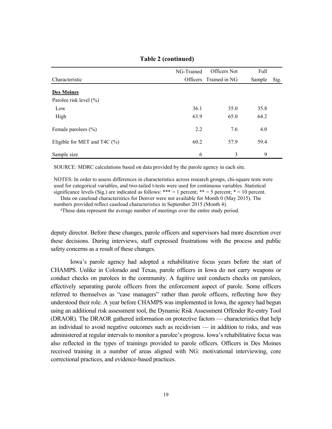|                                  | NG-Trained      | Officers Not  | Full   |      |
|----------------------------------|-----------------|---------------|--------|------|
| Characteristic                   | <b>Officers</b> | Trained in NG | Sample | Sig. |
| <b>Des Moines</b>                |                 |               |        |      |
| Parolee risk level (%)           |                 |               |        |      |
| Low                              | 36.1            | 35.0          | 35.8   |      |
| High                             | 63.9            | 65.0          | 64.2   |      |
| Female parolees $(\% )$          | 2.2             | 7.6           | 4.0    |      |
| Eligible for MET and T4C $(\% )$ | 60.2            | 57.9          | 59.4   |      |
| Sample size                      | 6               | 3             | 9      |      |

**Table 2 (continued)**

SOURCE: MDRC calculations based on data provided by the parole agency in each site.

NOTES: In order to assess differences in characteristics across research groups, chi-square tests were used for categorical variables, and two-tailed t-tests were used for continuous variables. Statistical significance levels (Sig.) are indicated as follows: \*\*\* = 1 percent; \*\* = 5 percent; \* = 10 percent.

Data on caseload characteristics for Denver were not available for Month 0 (May 2015). The

numbers provided reflect caseload characteristics in September 2015 (Month 4).

<sup>a</sup>These data represent the average number of meetings over the entire study period.

deputy director. Before these changes, parole officers and supervisors had more discretion over these decisions. During interviews, staff expressed frustrations with the process and public safety concerns as a result of these changes.

Iowa's parole agency had adopted a rehabilitative focus years before the start of CHAMPS. Unlike in Colorado and Texas, parole officers in Iowa do not carry weapons or conduct checks on parolees in the community. A fugitive unit conducts checks on parolees, effectively separating parole officers from the enforcement aspect of parole. Some officers referred to themselves as "case managers" rather than parole officers, reflecting how they understood their role. A year before CHAMPS was implemented in Iowa, the agency had begun using an additional risk assessment tool, the Dynamic Risk Assessment Offender Re-entry Tool (DRAOR). The DRAOR gathered information on protective factors — characteristics that help an individual to avoid negative outcomes such as recidivism — in addition to risks, and was administered at regular intervals to monitor a parolee's progress. Iowa's rehabilitative focus was also reflected in the types of trainings provided to parole officers. Officers in Des Moines received training in a number of areas aligned with NG: motivational interviewing, core correctional practices, and evidence-based practices.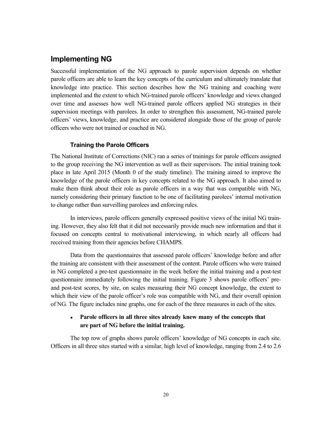# **Implementing NG**

Successful implementation of the NG approach to parole supervision depends on whether parole officers are able to learn the key concepts of the curriculum and ultimately translate that knowledge into practice. This section describes how the NG training and coaching were implemented and the extent to which NG-trained parole officers' knowledge and views changed over time and assesses how well NG-trained parole officers applied NG strategies in their supervision meetings with parolees. In order to strengthen this assessment, NG-trained parole officers' views, knowledge, and practice are considered alongside those of the group of parole officers who were not trained or coached in NG.

### **Training the Parole Officers**

The National Institute of Corrections (NIC) ran a series of trainings for parole officers assigned to the group receiving the NG intervention as well as their supervisors. The initial training took place in late April 2015 (Month 0 of the study timeline). The training aimed to improve the knowledge of the parole officers in key concepts related to the NG approach. It also aimed to make them think about their role as parole officers in a way that was compatible with NG, namely considering their primary function to be one of facilitating parolees' internal motivation to change rather than surveilling parolees and enforcing rules.

In interviews, parole officers generally expressed positive views of the initial NG training. However, they also felt that it did not necessarily provide much new information and that it focused on concepts central to motivational interviewing, in which nearly all officers had received training from their agencies before CHAMPS.

Data from the questionnaires that assessed parole officers' knowledge before and after the training are consistent with their assessment of the content. Parole officers who were trained in NG completed a pre-test questionnaire in the week before the initial training and a post-test questionnaire immediately following the initial training. Figure 3 shows parole officers' preand post-test scores, by site, on scales measuring their NG concept knowledge, the extent to which their view of the parole officer's role was compatible with NG, and their overall opinion of NG. The figure includes nine graphs, one for each of the three measures in each of the sites.

## • Parole officers in all three sites already knew many of the concepts that **are part of NG before the initial training.**

The top row of graphs shows parole officers' knowledge of NG concepts in each site. Officers in all three sites started with a similar, high level of knowledge, ranging from 2.4 to 2.6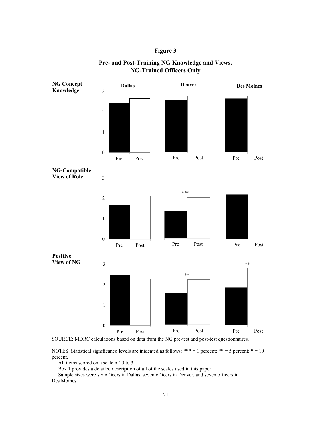### **Figure 3**



## **Pre- and Post-Training NG Knowledge and Views, NG-Trained Officers Only**

SOURCE: MDRC calculations based on data from the NG pre-test and post-test questionnaires.

NOTES: Statistical significance levels are inidcated as follows: \*\*\* = 1 percent; \*\* = 5 percent; \* = 10 percent.

All items scored on a scale of 0 to 3.

Box 1 provides a detailed description of all of the scales used in this paper.

Sample sizes were six officers in Dallas, seven officers in Denver, and seven officers in Des Moines.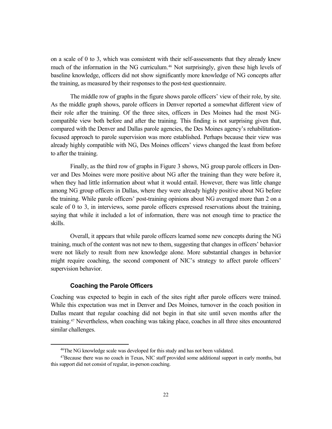on a scale of 0 to 3, which was consistent with their self-assessments that they already knew much of the information in the NG curriculum.[46](#page-30-0) Not surprisingly, given these high levels of baseline knowledge, officers did not show significantly more knowledge of NG concepts after the training, as measured by their responses to the post-test questionnaire.

The middle row of graphs in the figure shows parole officers' view of their role, by site. As the middle graph shows, parole officers in Denver reported a somewhat different view of their role after the training. Of the three sites, officers in Des Moines had the most NGcompatible view both before and after the training. This finding is not surprising given that, compared with the Denver and Dallas parole agencies, the Des Moines agency's rehabilitationfocused approach to parole supervision was more established. Perhaps because their view was already highly compatible with NG, Des Moines officers' views changed the least from before to after the training.

Finally, as the third row of graphs in Figure 3 shows, NG group parole officers in Denver and Des Moines were more positive about NG after the training than they were before it, when they had little information about what it would entail. However, there was little change among NG group officers in Dallas, where they were already highly positive about NG before the training. While parole officers' post-training opinions about NG averaged more than 2 on a scale of 0 to 3, in interviews, some parole officers expressed reservations about the training, saying that while it included a lot of information, there was not enough time to practice the skills.

Overall, it appears that while parole officers learned some new concepts during the NG training, much of the content was not new to them, suggesting that changes in officers' behavior were not likely to result from new knowledge alone. More substantial changes in behavior might require coaching, the second component of NIC's strategy to affect parole officers' supervision behavior.

### **Coaching the Parole Officers**

Coaching was expected to begin in each of the sites right after parole officers were trained. While this expectation was met in Denver and Des Moines, turnover in the coach position in Dallas meant that regular coaching did not begin in that site until seven months after the training.[47](#page-30-1) Nevertheless, when coaching was taking place, coaches in all three sites encountered similar challenges.

<sup>&</sup>lt;sup>46</sup>The NG knowledge scale was developed for this study and has not been validated.

<span id="page-30-1"></span><span id="page-30-0"></span><sup>47</sup>Because there was no coach in Texas, NIC staff provided some additional support in early months, but this support did not consist of regular, in-person coaching.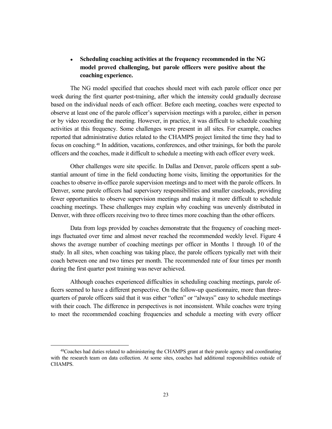## **Scheduling coaching activities at the frequency recommended in the NG model proved challenging, but parole officers were positive about the coaching experience.**

The NG model specified that coaches should meet with each parole officer once per week during the first quarter post-training, after which the intensity could gradually decrease based on the individual needs of each officer. Before each meeting, coaches were expected to observe at least one of the parole officer's supervision meetings with a parolee, either in person or by video recording the meeting. However, in practice, it was difficult to schedule coaching activities at this frequency. Some challenges were present in all sites. For example, coaches reported that administrative duties related to the CHAMPS project limited the time they had to focus on coaching.[48](#page-31-0) In addition, vacations, conferences, and other trainings, for both the parole officers and the coaches, made it difficult to schedule a meeting with each officer every week.

Other challenges were site specific. In Dallas and Denver, parole officers spent a substantial amount of time in the field conducting home visits, limiting the opportunities for the coaches to observe in-office parole supervision meetings and to meet with the parole officers. In Denver, some parole officers had supervisory responsibilities and smaller caseloads, providing fewer opportunities to observe supervision meetings and making it more difficult to schedule coaching meetings. These challenges may explain why coaching was unevenly distributed in Denver, with three officers receiving two to three times more coaching than the other officers.

Data from logs provided by coaches demonstrate that the frequency of coaching meetings fluctuated over time and almost never reached the recommended weekly level. Figure 4 shows the average number of coaching meetings per officer in Months 1 through 10 of the study. In all sites, when coaching was taking place, the parole officers typically met with their coach between one and two times per month. The recommended rate of four times per month during the first quarter post training was never achieved.

Although coaches experienced difficulties in scheduling coaching meetings, parole officers seemed to have a different perspective. On the follow-up questionnaire, more than threequarters of parole officers said that it was either "often" or "always" easy to schedule meetings with their coach. The difference in perspectives is not inconsistent. While coaches were trying to meet the recommended coaching frequencies and schedule a meeting with every officer

<span id="page-31-0"></span> <sup>48</sup>Coaches had duties related to administering the CHAMPS grant at their parole agency and coordinating with the research team on data collection. At some sites, coaches had additional responsibilities outside of CHAMPS.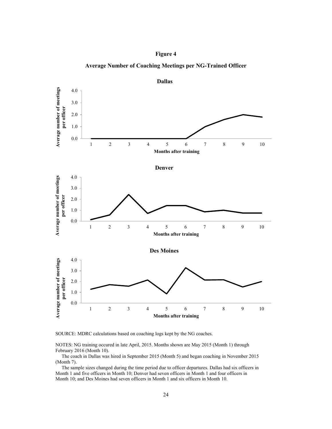





SOURCE: MDRC calculations based on coaching logs kept by the NG coaches.

NOTES: NG training occured in late April, 2015. Months shown are May 2015 (Month 1) through February 2016 (Month 10).

The coach in Dallas was hired in September 2015 (Month 5) and began coaching in November 2015 (Month 7).

The sample sizes changed during the time period due to officer departures. Dallas had six officers in Month 1 and five officers in Month 10; Denver had seven officers in Month 1 and four officers in Month 10; and Des Moines had seven officers in Month 1 and six officers in Month 10.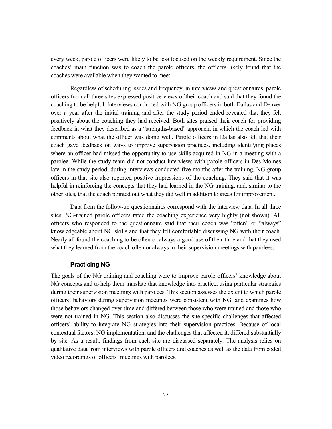every week, parole officers were likely to be less focused on the weekly requirement. Since the coaches' main function was to coach the parole officers, the officers likely found that the coaches were available when they wanted to meet.

Regardless of scheduling issues and frequency, in interviews and questionnaires, parole officers from all three sites expressed positive views of their coach and said that they found the coaching to be helpful. Interviews conducted with NG group officers in both Dallas and Denver over a year after the initial training and after the study period ended revealed that they felt positively about the coaching they had received. Both sites praised their coach for providing feedback in what they described as a "strengths-based" approach, in which the coach led with comments about what the officer was doing well. Parole officers in Dallas also felt that their coach gave feedback on ways to improve supervision practices, including identifying places where an officer had missed the opportunity to use skills acquired in NG in a meeting with a parolee. While the study team did not conduct interviews with parole officers in Des Moines late in the study period, during interviews conducted five months after the training, NG group officers in that site also reported positive impressions of the coaching. They said that it was helpful in reinforcing the concepts that they had learned in the NG training, and, similar to the other sites, that the coach pointed out what they did well in addition to areas for improvement.

Data from the follow-up questionnaires correspond with the interview data. In all three sites, NG-trained parole officers rated the coaching experience very highly (not shown). All officers who responded to the questionnaire said that their coach was "often" or "always" knowledgeable about NG skills and that they felt comfortable discussing NG with their coach. Nearly all found the coaching to be often or always a good use of their time and that they used what they learned from the coach often or always in their supervision meetings with parolees.

#### **Practicing NG**

The goals of the NG training and coaching were to improve parole officers' knowledge about NG concepts and to help them translate that knowledge into practice, using particular strategies during their supervision meetings with parolees. This section assesses the extent to which parole officers' behaviors during supervision meetings were consistent with NG, and examines how those behaviors changed over time and differed between those who were trained and those who were not trained in NG. This section also discusses the site-specific challenges that affected officers' ability to integrate NG strategies into their supervision practices. Because of local contextual factors, NG implementation, and the challenges that affected it, differed substantially by site. As a result, findings from each site are discussed separately. The analysis relies on qualitative data from interviews with parole officers and coaches as well as the data from coded video recordings of officers' meetings with parolees.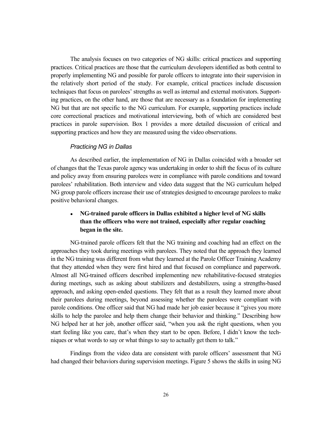The analysis focuses on two categories of NG skills: critical practices and supporting practices. Critical practices are those that the curriculum developers identified as both central to properly implementing NG and possible for parole officers to integrate into their supervision in the relatively short period of the study. For example, critical practices include discussion techniques that focus on parolees' strengths as well as internal and external motivators. Supporting practices, on the other hand, are those that are necessary as a foundation for implementing NG but that are not specific to the NG curriculum. For example, supporting practices include core correctional practices and motivational interviewing, both of which are considered best practices in parole supervision. Box 1 provides a more detailed discussion of critical and supporting practices and how they are measured using the video observations.

### *Practicing NG in Dallas*

As described earlier, the implementation of NG in Dallas coincided with a broader set of changes that the Texas parole agency was undertaking in order to shift the focus of its culture and policy away from ensuring parolees were in compliance with parole conditions and toward parolees' rehabilitation. Both interview and video data suggest that the NG curriculum helped NG group parole officers increase their use of strategies designed to encourage parolees to make positive behavioral changes.

## ● **NG-trained parole officers in Dallas exhibited a higher level of NG skills than the officers who were not trained, especially after regular coaching began in the site.**

NG-trained parole officers felt that the NG training and coaching had an effect on the approaches they took during meetings with parolees. They noted that the approach they learned in the NG training was different from what they learned at the Parole Officer Training Academy that they attended when they were first hired and that focused on compliance and paperwork. Almost all NG-trained officers described implementing new rehabilitative-focused strategies during meetings, such as asking about stabilizers and destabilizers, using a strengths-based approach, and asking open-ended questions. They felt that as a result they learned more about their parolees during meetings, beyond assessing whether the parolees were compliant with parole conditions. One officer said that NG had made her job easier because it "gives you more skills to help the parolee and help them change their behavior and thinking." Describing how NG helped her at her job, another officer said, "when you ask the right questions, when you start feeling like you care, that's when they start to be open. Before, I didn't know the techniques or what words to say or what things to say to actually get them to talk."

Findings from the video data are consistent with parole officers' assessment that NG had changed their behaviors during supervision meetings. Figure 5 shows the skills in using NG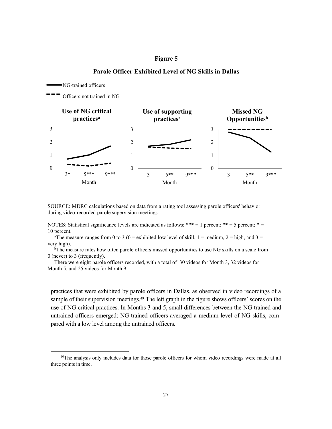

**Parole Officer Exhibited Level of NG Skills in Dallas**

**Figure 5**

SOURCE: MDRC calculations based on data from a rating tool assessing parole officers' behavior during video-recorded parole supervision meetings.

NOTES: Statistical significance levels are indicated as follows: \*\*\* = 1 percent; \*\* = 5 percent; \* = 10 percent.

<sup>a</sup>The measure ranges from 0 to 3 (0 = exhibited low level of skill, 1 = medium, 2 = high, and 3 = very high).

bThe measure rates how often parole officers missed opportunities to use NG skills on a scale from 0 (never) to 3 (frequently).

There were eight parole officers recorded, with a total of 30 videos for Month 3, 32 videos for Month 5, and 25 videos for Month 9.

practices that were exhibited by parole officers in Dallas, as observed in video recordings of a sample of their supervision meetings.<sup>[49](#page-35-0)</sup> The left graph in the figure shows officers' scores on the use of NG critical practices. In Months 3 and 5, small differences between the NG-trained and untrained officers emerged; NG-trained officers averaged a medium level of NG skills, compared with a low level among the untrained officers.

<span id="page-35-0"></span><sup>&</sup>lt;sup>49</sup>The analysis only includes data for those parole officers for whom video recordings were made at all three points in time.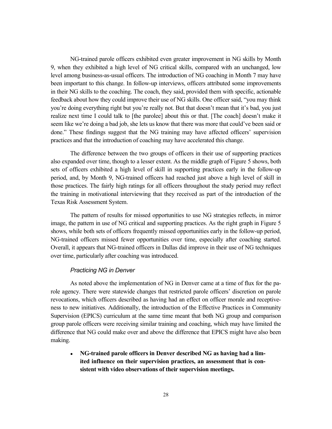NG-trained parole officers exhibited even greater improvement in NG skills by Month 9, when they exhibited a high level of NG critical skills, compared with an unchanged, low level among business-as-usual officers. The introduction of NG coaching in Month 7 may have been important to this change. In follow-up interviews, officers attributed some improvements in their NG skills to the coaching. The coach, they said, provided them with specific, actionable feedback about how they could improve their use of NG skills. One officer said, "you may think you're doing everything right but you're really not. But that doesn't mean that it's bad, you just realize next time I could talk to [the parolee] about this or that. [The coach] doesn't make it seem like we're doing a bad job, she lets us know that there was more that could've been said or done." These findings suggest that the NG training may have affected officers' supervision practices and that the introduction of coaching may have accelerated this change.

The difference between the two groups of officers in their use of supporting practices also expanded over time, though to a lesser extent. As the middle graph of Figure 5 shows, both sets of officers exhibited a high level of skill in supporting practices early in the follow-up period, and, by Month 9, NG-trained officers had reached just above a high level of skill in those practices. The fairly high ratings for all officers throughout the study period may reflect the training in motivational interviewing that they received as part of the introduction of the Texas Risk Assessment System.

The pattern of results for missed opportunities to use NG strategies reflects, in mirror image, the pattern in use of NG critical and supporting practices. As the right graph in Figure 5 shows, while both sets of officers frequently missed opportunities early in the follow-up period, NG-trained officers missed fewer opportunities over time, especially after coaching started. Overall, it appears that NG-trained officers in Dallas did improve in their use of NG techniques over time, particularly after coaching was introduced.

#### *Practicing NG in Denver*

As noted above the implementation of NG in Denver came at a time of flux for the parole agency. There were statewide changes that restricted parole officers' discretion on parole revocations, which officers described as having had an effect on officer morale and receptiveness to new initiatives. Additionally, the introduction of the Effective Practices in Community Supervision (EPICS) curriculum at the same time meant that both NG group and comparison group parole officers were receiving similar training and coaching, which may have limited the difference that NG could make over and above the difference that EPICS might have also been making.

● **NG-trained parole officers in Denver described NG as having had a limited influence on their supervision practices, an assessment that is consistent with video observations of their supervision meetings.**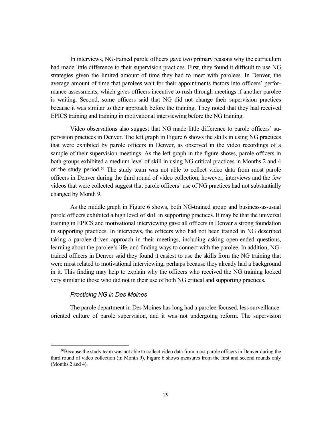In interviews, NG-trained parole officers gave two primary reasons why the curriculum had made little difference to their supervision practices. First, they found it difficult to use NG strategies given the limited amount of time they had to meet with parolees. In Denver, the average amount of time that parolees wait for their appointments factors into officers' performance assessments, which gives officers incentive to rush through meetings if another parolee is waiting. Second, some officers said that NG did not change their supervision practices because it was similar to their approach before the training. They noted that they had received EPICS training and training in motivational interviewing before the NG training.

Video observations also suggest that NG made little difference to parole officers' supervision practices in Denver. The left graph in Figure 6 shows the skills in using NG practices that were exhibited by parole officers in Denver, as observed in the video recordings of a sample of their supervision meetings. As the left graph in the figure shows, parole officers in both groups exhibited a medium level of skill in using NG critical practices in Months 2 and 4 of the study period.[50](#page-37-0) The study team was not able to collect video data from most parole officers in Denver during the third round of video collection; however, interviews and the few videos that were collected suggest that parole officers' use of NG practices had not substantially changed by Month 9.

As the middle graph in Figure 6 shows, both NG-trained group and business-as-usual parole officers exhibited a high level of skill in supporting practices. It may be that the universal training in EPICS and motivational interviewing gave all officers in Denver a strong foundation in supporting practices. In interviews, the officers who had not been trained in NG described taking a parolee-driven approach in their meetings, including asking open-ended questions, learning about the parolee's life, and finding ways to connect with the parolee. In addition, NGtrained officers in Denver said they found it easiest to use the skills from the NG training that were most related to motivational interviewing, perhaps because they already had a background in it. This finding may help to explain why the officers who received the NG training looked very similar to those who did not in their use of both NG critical and supporting practices.

### *Practicing NG in Des Moines*

The parole department in Des Moines has long had a parolee-focused, less surveillanceoriented culture of parole supervision, and it was not undergoing reform. The supervision

<span id="page-37-0"></span><sup>&</sup>lt;sup>50</sup>Because the study team was not able to collect video data from most parole officers in Denver during the third round of video collection (in Month 9), Figure 6 shows measures from the first and second rounds only (Months 2 and 4).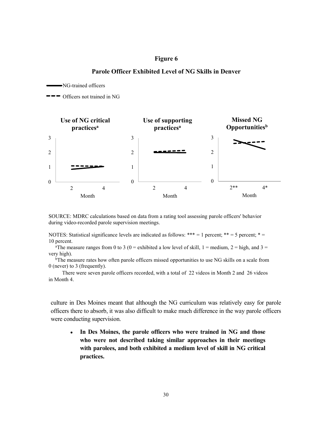### **Figure 6**

### **Parole Officer Exhibited Level of NG Skills in Denver**

NG-trained officers

Officers not trained in NG



SOURCE: MDRC calculations based on data from a rating tool assessing parole officers' behavior during video-recorded parole supervision meetings.

NOTES: Statistical significance levels are indicated as follows: \*\*\* = 1 percent; \*\* = 5 percent; \* = 10 percent.

<sup>a</sup>The measure ranges from 0 to 3 (0 = exhibited a low level of skill, 1 = medium, 2 = high, and 3 = very high).

bThe measure rates how often parole officers missed opportunities to use NG skills on a scale from 0 (never) to 3 (frequently).

There were seven parole officers recorded, with a total of 22 videos in Month 2 and 26 videos in Month 4.

culture in Des Moines meant that although the NG curriculum was relatively easy for parole officers there to absorb, it was also difficult to make much difference in the way parole officers were conducting supervision.

● **In Des Moines, the parole officers who were trained in NG and those who were not described taking similar approaches in their meetings with parolees, and both exhibited a medium level of skill in NG critical practices.**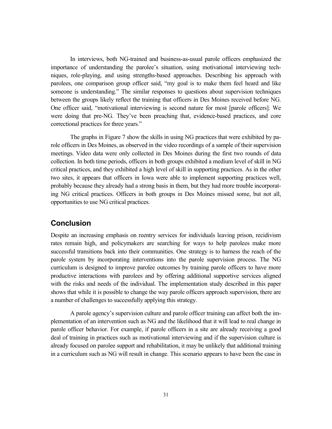In interviews, both NG-trained and business-as-usual parole officers emphasized the importance of understanding the parolee's situation, using motivational interviewing techniques, role-playing, and using strengths-based approaches. Describing his approach with parolees, one comparison group officer said, "my goal is to make them feel heard and like someone is understanding." The similar responses to questions about supervision techniques between the groups likely reflect the training that officers in Des Moines received before NG. One officer said, "motivational interviewing is second nature for most [parole officers]. We were doing that pre-NG. They've been preaching that, evidence-based practices, and core correctional practices for three years."

The graphs in Figure 7 show the skills in using NG practices that were exhibited by parole officers in Des Moines, as observed in the video recordings of a sample of their supervision meetings. Video data were only collected in Des Moines during the first two rounds of data collection. In both time periods, officers in both groups exhibited a medium level of skill in NG critical practices, and they exhibited a high level of skill in supporting practices. As in the other two sites, it appears that officers in Iowa were able to implement supporting practices well, probably because they already had a strong basis in them, but they had more trouble incorporating NG critical practices. Officers in both groups in Des Moines missed some, but not all, opportunities to use NG critical practices.

# **Conclusion**

Despite an increasing emphasis on reentry services for individuals leaving prison, recidivism rates remain high, and policymakers are searching for ways to help parolees make more successful transitions back into their communities. One strategy is to harness the reach of the parole system by incorporating interventions into the parole supervision process. The NG curriculum is designed to improve parolee outcomes by training parole officers to have more productive interactions with parolees and by offering additional supportive services aligned with the risks and needs of the individual. The implementation study described in this paper shows that while it is possible to change the way parole officers approach supervision, there are a number of challenges to successfully applying this strategy.

A parole agency's supervision culture and parole officer training can affect both the implementation of an intervention such as NG and the likelihood that it will lead to real change in parole officer behavior. For example, if parole officers in a site are already receiving a good deal of training in practices such as motivational interviewing and if the supervision culture is already focused on parolee support and rehabilitation, it may be unlikely that additional training in a curriculum such as NG will result in change. This scenario appears to have been the case in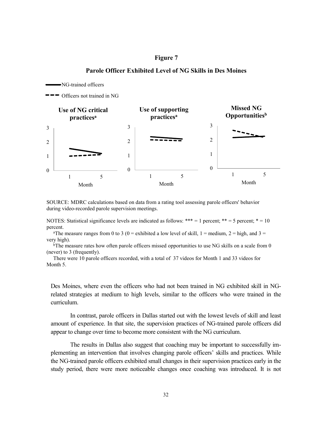### **Figure 7**



**Parole Officer Exhibited Level of NG Skills in Des Moines**

SOURCE: MDRC calculations based on data from a rating tool assessing parole officers' behavior during video-recorded parole supervision meetings.

NOTES: Statistical significance levels are indicated as follows: \*\*\* = 1 percent; \*\* = 5 percent; \* = 10 percent.

<sup>a</sup>The measure ranges from 0 to 3 (0 = exhibited a low level of skill, 1 = medium, 2 = high, and 3 = very high).

<sup>b</sup>The measure rates how often parole officers missed opportunities to use NG skills on a scale from 0 (never) to 3 (frequently).

There were 10 parole officers recorded, with a total of 37 videos for Month 1 and 33 videos for Month 5.

Des Moines, where even the officers who had not been trained in NG exhibited skill in NGrelated strategies at medium to high levels, similar to the officers who were trained in the curriculum.

In contrast, parole officers in Dallas started out with the lowest levels of skill and least amount of experience. In that site, the supervision practices of NG-trained parole officers did appear to change over time to become more consistent with the NG curriculum.

The results in Dallas also suggest that coaching may be important to successfully implementing an intervention that involves changing parole officers' skills and practices. While the NG-trained parole officers exhibited small changes in their supervision practices early in the study period, there were more noticeable changes once coaching was introduced. It is not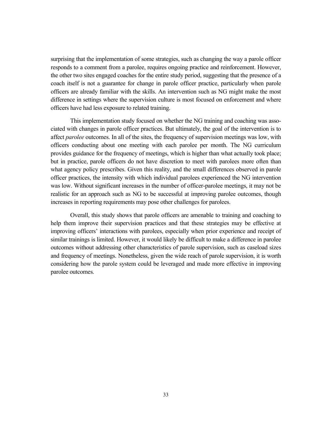surprising that the implementation of some strategies, such as changing the way a parole officer responds to a comment from a parolee, requires ongoing practice and reinforcement. However, the other two sites engaged coaches for the entire study period, suggesting that the presence of a coach itself is not a guarantee for change in parole officer practice, particularly when parole officers are already familiar with the skills. An intervention such as NG might make the most difference in settings where the supervision culture is most focused on enforcement and where officers have had less exposure to related training.

This implementation study focused on whether the NG training and coaching was associated with changes in parole officer practices. But ultimately, the goal of the intervention is to affect *parolee* outcomes. In all of the sites, the frequency of supervision meetings was low, with officers conducting about one meeting with each parolee per month. The NG curriculum provides guidance for the frequency of meetings, which is higher than what actually took place; but in practice, parole officers do not have discretion to meet with parolees more often than what agency policy prescribes. Given this reality, and the small differences observed in parole officer practices, the intensity with which individual parolees experienced the NG intervention was low. Without significant increases in the number of officer-parolee meetings, it may not be realistic for an approach such as NG to be successful at improving parolee outcomes, though increases in reporting requirements may pose other challenges for parolees.

Overall, this study shows that parole officers are amenable to training and coaching to help them improve their supervision practices and that these strategies may be effective at improving officers' interactions with parolees, especially when prior experience and receipt of similar trainings is limited. However, it would likely be difficult to make a difference in parolee outcomes without addressing other characteristics of parole supervision, such as caseload sizes and frequency of meetings. Nonetheless, given the wide reach of parole supervision, it is worth considering how the parole system could be leveraged and made more effective in improving parolee outcomes.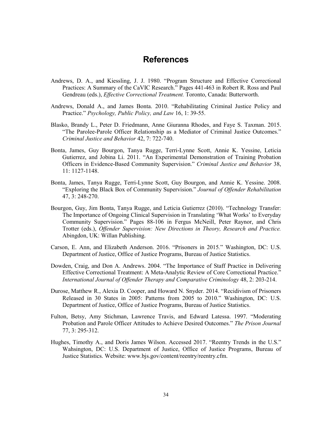# **References**

- Andrews, D. A., and Kiessling, J. J. 1980. "Program Structure and Effective Correctional Practices: A Summary of the CaVIC Research." Pages 441-463 in Robert R. Ross and Paul Gendreau (eds.), *Effective Correctional Treatment.* Toronto, Canada: Butterworth.
- Andrews, Donald A., and James Bonta. 2010. "Rehabilitating Criminal Justice Policy and Practice." *Psychology, Public Policy, and Law* 16, 1: 39-55.
- Blasko, Brandy L., Peter D. Friedmann, Anne Giuranna Rhodes, and Faye S. Taxman. 2015. "The Parolee-Parole Officer Relationship as a Mediator of Criminal Justice Outcomes." *Criminal Justice and Behavior* 42, 7: 722-740.
- Bonta, James, Guy Bourgon, Tanya Rugge, Terri-Lynne Scott, Annie K. Yessine, Leticia Gutierrez, and Jobina Li. 2011. "An Experimental Demonstration of Training Probation Officers in Evidence-Based Community Supervision." *Criminal Justice and Behavior* 38, 11: 1127-1148.
- Bonta, James, Tanya Rugge, Terri-Lynne Scott, Guy Bourgon, and Annie K. Yessine. 2008. "Exploring the Black Box of Community Supervision." *Journal of Offender Rehabilitation* 47, 3: 248-270.
- Bourgon, Guy, Jim Bonta, Tanya Rugge, and Leticia Gutierrez (2010). "Technology Transfer: The Importance of Ongoing Clinical Supervision in Translating 'What Works' to Everyday Community Supervision." Pages 88-106 in Fergus McNeill, Peter Raynor, and Chris Trotter (eds.), *Offender Supervision: New Directions in Theory, Research and Practice.* Abingdon, UK: Willan Publishing.
- Carson, E. Ann, and Elizabeth Anderson. 2016. "Prisoners in 2015*.*" Washington, DC: U.S. Department of Justice, Office of Justice Programs, Bureau of Justice Statistics.
- Dowden, Craig, and Don A. Andrews. 2004. "The Importance of Staff Practice in Delivering Effective Correctional Treatment: A Meta-Analytic Review of Core Correctional Practice." *International Journal of Offender Therapy and Comparative Criminology* 48, 2: 203-214.
- Durose, Matthew R., Alexia D. Cooper, and Howard N. Snyder. 2014. "Recidivism of Prisoners Released in 30 States in 2005: Patterns from 2005 to 2010." Washington, DC: U.S. Department of Justice, Office of Justice Programs, Bureau of Justice Statistics.
- Fulton, Betsy, Amy Stichman, Lawrence Travis, and Edward Latessa. 1997. "Moderating Probation and Parole Officer Attitudes to Achieve Desired Outcomes." *The Prison Journal*  77, 3: 295‐312.
- Hughes, Timothy A., and Doris James Wilson. Accessed 2017. "Reentry Trends in the U.S." Wahsington, DC: U.S. Department of Justice, Office of Justice Programs, Bureau of Justice Statistics. Website: www.bjs.gov/content/reentry/reentry.cfm.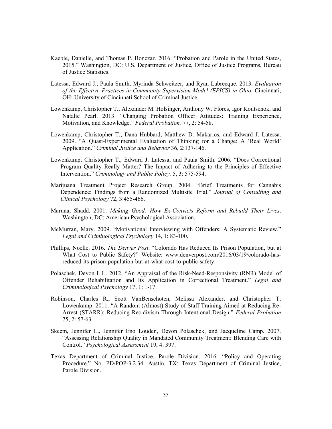- Kaeble, Danielle, and Thomas P. Bonczar. 2016. "Probation and Parole in the United States, 2015." Washington, DC: U.S. Department of Justice, Office of Justice Programs, Bureau of Justice Statistics.
- Latessa, Edward J., Paula Smith, Myrinda Schweitzer, and Ryan Labrecque. 2013. *Evaluation of the Effective Practices in Community Supervision Model (EPICS) in Ohio*. Cincinnati, OH: University of Cincinnati School of Criminal Justice.
- Lowenkamp, Christopher T., Alexander M. Holsinger, Anthony W. Flores, Igor Koutsenok, and Natalie Pearl. 2013. "Changing Probation Officer Attitudes: Training Experience, Motivation, and Knowledge." *Federal Probation,* 77, 2: 54-58.
- Lowenkamp, Christopher T., Dana Hubbard, Matthew D. Makarios, and Edward J. Latessa. 2009. "A Quasi-Experimental Evaluation of Thinking for a Change: A 'Real World' Application." *Criminal Justice and Behavior* 36, 2:137-146.
- Lowenkamp, Christopher T., Edward J. Latessa, and Paula Smith. 2006. "Does Correctional Program Quality Really Matter? The Impact of Adhering to the Principles of Effective Intervention." *Criminology and Public Policy,* 5, 3: 575-594.
- Marijuana Treatment Project Research Group. 2004. "Brief Treatments for Cannabis Dependence: Findings from a Randomized Multisite Trial." *Journal of Consulting and Clinical Psychology* 72, 3:455-466.
- Maruna, Shadd. 2001. *Making Good: How Ex-Convicts Reform and Rebuild Their Lives*. Washington, DC: American Psychological Association.
- McMurran, Mary. 2009. "Motivational Interviewing with Offenders: A Systematic Review." *Legal and Criminological Psychology* 14, 1: 83-100.
- Phillips, Noelle. 2016. *The Denver Post*. "Colorado Has Reduced Its Prison Population, but at What Cost to Public Safety?" Website: www.denverpost.com/2016/03/19/colorado-hasreduced-its-prison-population-but-at-what-cost-to-public-safety.
- Polaschek, Devon L.L. 2012. "An Appraisal of the Risk-Need-Responsivity (RNR) Model of Offender Rehabilitation and Its Application in Correctional Treatment." *Legal and Criminological Psychology* 17, 1: 1-17.
- Robinson, Charles R., Scott VanBenschoten, Melissa Alexander, and Christopher T. Lowenkamp. 2011. "A Random (Almost) Study of Staff Training Aimed at Reducing Re-Arrest (STARR): Reducing Recidivism Through Intentional Design." *Federal Probation* 75, 2: 57-63.
- Skeem, Jennifer L., Jennifer Eno Louden, Devon Polaschek, and Jacqueline Camp. 2007. "Assessing Relationship Quality in Mandated Community Treatment: Blending Care with Control." *Psychological Assessment* 19, 4: 397.
- Texas Department of Criminal Justice, Parole Division. 2016. "Policy and Operating Procedure." No. PD/POP-3.2.34. Austin, TX: Texas Department of Criminal Justice, Parole Division.